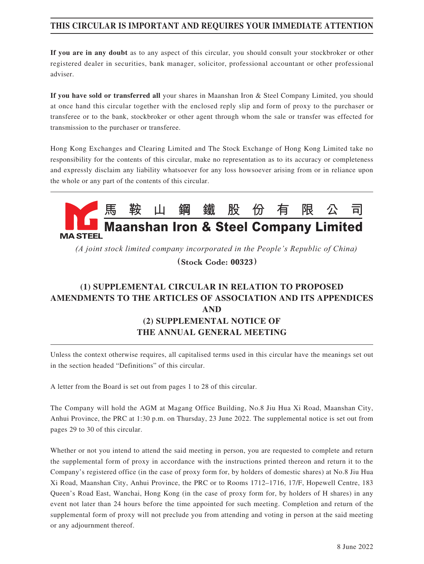#### **THIS CIRCULAR IS IMPORTANT AND REQUIRES YOUR IMMEDIATE ATTENTION**

**If you are in any doubt** as to any aspect of this circular, you should consult your stockbroker or other registered dealer in securities, bank manager, solicitor, professional accountant or other professional adviser.

**If you have sold or transferred all** your shares in Maanshan Iron & Steel Company Limited, you should at once hand this circular together with the enclosed reply slip and form of proxy to the purchaser or transferee or to the bank, stockbroker or other agent through whom the sale or transfer was effected for transmission to the purchaser or transferee.

Hong Kong Exchanges and Clearing Limited and The Stock Exchange of Hong Kong Limited take no responsibility for the contents of this circular, make no representation as to its accuracy or completeness and expressly disclaim any liability whatsoever for any loss howsoever arising from or in reliance upon the whole or any part of the contents of this circular.



*(A joint stock limited company incorporated in the People's Republic of China)*

**(Stock Code: 00323)**

# **(1) SUPPLEMENTAL CIRCULAR IN RELATION TO PROPOSED AMENDMENTS TO THE ARTICLES OF ASSOCIATION AND ITS APPENDICES AND (2) SUPPLEMENTAL NOTICE OF THE ANNUAL GENERAL MEETING**

Unless the context otherwise requires, all capitalised terms used in this circular have the meanings set out in the section headed "Definitions" of this circular.

A letter from the Board is set out from pages 1 to 28 of this circular.

The Company will hold the AGM at Magang Office Building, No.8 Jiu Hua Xi Road, Maanshan City, Anhui Province, the PRC at 1:30 p.m. on Thursday, 23 June 2022. The supplemental notice is set out from pages 29 to 30 of this circular.

Whether or not you intend to attend the said meeting in person, you are requested to complete and return the supplemental form of proxy in accordance with the instructions printed thereon and return it to the Company's registered office (in the case of proxy form for, by holders of domestic shares) at No.8 Jiu Hua Xi Road, Maanshan City, Anhui Province, the PRC or to Rooms 1712–1716, 17/F, Hopewell Centre, 183 Queen's Road East, Wanchai, Hong Kong (in the case of proxy form for, by holders of H shares) in any event not later than 24 hours before the time appointed for such meeting. Completion and return of the supplemental form of proxy will not preclude you from attending and voting in person at the said meeting or any adjournment thereof.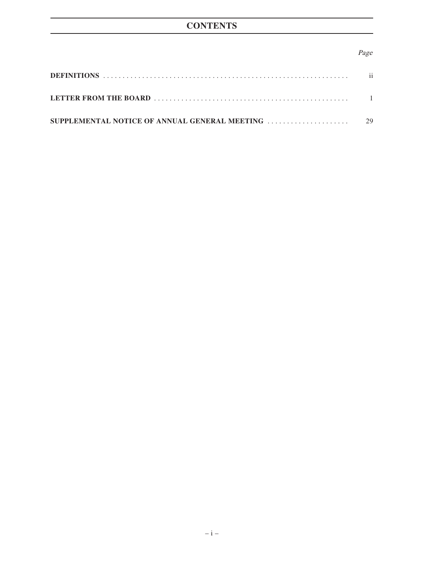#### Page

| $\mathbf{ii}$ |
|---------------|
|               |
|               |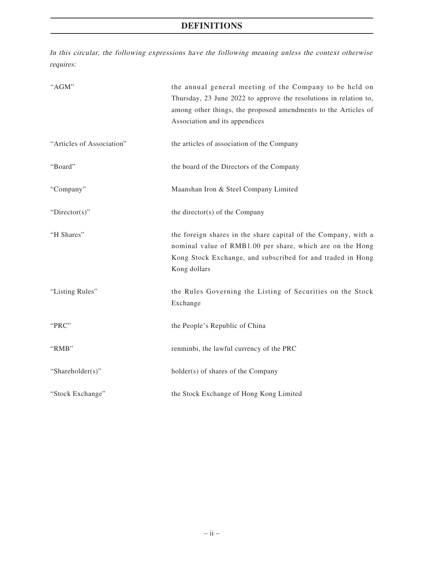## **DEFINITIONS**

In this circular, the following expressions have the following meaning unless the context otherwise requires:

| "AGM"                     | the annual general meeting of the Company to be held on<br>Thursday, 23 June 2022 to approve the resolutions in relation to,<br>among other things, the proposed amendments to the Articles of<br>Association and its appendices |
|---------------------------|----------------------------------------------------------------------------------------------------------------------------------------------------------------------------------------------------------------------------------|
| "Articles of Association" | the articles of association of the Company                                                                                                                                                                                       |
| "Board"                   | the board of the Directors of the Company                                                                                                                                                                                        |
| "Company"                 | Maanshan Iron & Steel Company Limited                                                                                                                                                                                            |
| "Director(s)"             | the director(s) of the Company                                                                                                                                                                                                   |
| "H Shares"                | the foreign shares in the share capital of the Company, with a<br>nominal value of RMB1.00 per share, which are on the Hong<br>Kong Stock Exchange, and subscribed for and traded in Hong<br>Kong dollars                        |
| "Listing Rules"           | the Rules Governing the Listing of Securities on the Stock<br>Exchange                                                                                                                                                           |
| "PRC"                     | the People's Republic of China                                                                                                                                                                                                   |
| "RMB"                     | renminbi, the lawful currency of the PRC                                                                                                                                                                                         |
| "Shareholder(s)"          | holder(s) of shares of the Company                                                                                                                                                                                               |
| "Stock Exchange"          | the Stock Exchange of Hong Kong Limited                                                                                                                                                                                          |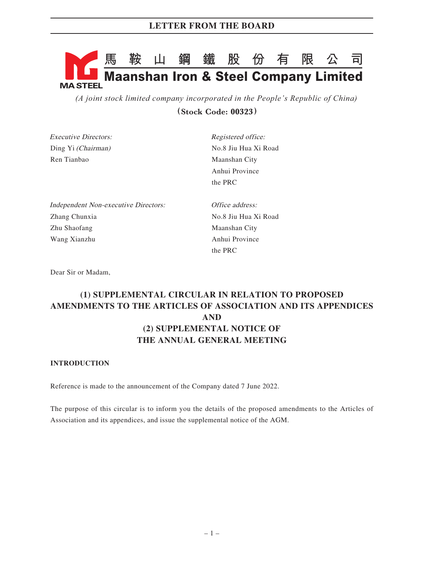# **馬鞍山鋼鐵股份有限公司 Maanshan Iron & Steel Company Limited MA STEEL**

*(A joint stock limited company incorporated in the People's Republic of China)* **(Stock Code: 00323)**

| <i>Executive Directors:</i>                 | Registered office:   |
|---------------------------------------------|----------------------|
| Ding Yi <i>(Chairman)</i>                   | No.8 Jiu Hua Xi Road |
| Ren Tianbao                                 | Maanshan City        |
|                                             | Anhui Province       |
|                                             | the PRC              |
| <b>Independent Non-executive Directors:</b> | Office address:      |

Zhang Chunxia No.8 Jiu Hua Xi Road Zhu Shaofang Maanshan City Wang Xianzhu **Anhui Province** 

the PRC

Dear Sir or Madam,

# **(1) SUPPLEMENTAL CIRCULAR IN RELATION TO PROPOSED AMENDMENTS TO THE ARTICLES OF ASSOCIATION AND ITS APPENDICES AND (2) SUPPLEMENTAL NOTICE OF THE ANNUAL GENERAL MEETING**

#### **INTRODUCTION**

Reference is made to the announcement of the Company dated 7 June 2022.

The purpose of this circular is to inform you the details of the proposed amendments to the Articles of Association and its appendices, and issue the supplemental notice of the AGM.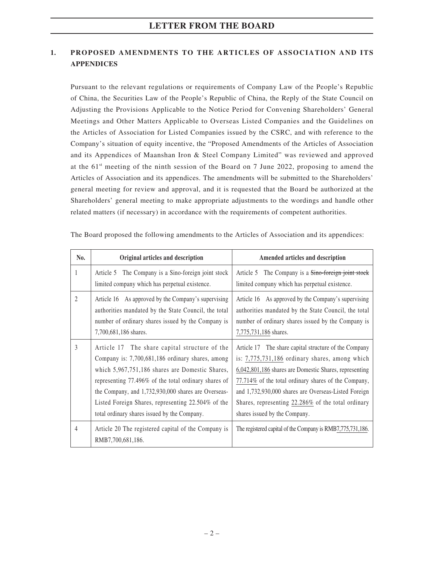#### **1. PROPOSED AMENDMENTS TO THE ARTICLES OF ASSOCIATION AND ITS APPENDICES**

Pursuant to the relevant regulations or requirements of Company Law of the People's Republic of China, the Securities Law of the People's Republic of China, the Reply of the State Council on Adjusting the Provisions Applicable to the Notice Period for Convening Shareholders' General Meetings and Other Matters Applicable to Overseas Listed Companies and the Guidelines on the Articles of Association for Listed Companies issued by the CSRC, and with reference to the Company's situation of equity incentive, the "Proposed Amendments of the Articles of Association and its Appendices of Maanshan Iron & Steel Company Limited" was reviewed and approved at the  $61<sup>st</sup>$  meeting of the ninth session of the Board on 7 June 2022, proposing to amend the Articles of Association and its appendices. The amendments will be submitted to the Shareholders' general meeting for review and approval, and it is requested that the Board be authorized at the Shareholders' general meeting to make appropriate adjustments to the wordings and handle other related matters (if necessary) in accordance with the requirements of competent authorities.

| No.            | Original articles and description                                                                                                                                                                                                                                                                                                                                         | Amended articles and description                                                                                                                                                                                                                                                                                                                                         |
|----------------|---------------------------------------------------------------------------------------------------------------------------------------------------------------------------------------------------------------------------------------------------------------------------------------------------------------------------------------------------------------------------|--------------------------------------------------------------------------------------------------------------------------------------------------------------------------------------------------------------------------------------------------------------------------------------------------------------------------------------------------------------------------|
| 1              | The Company is a Sino-foreign joint stock<br>Article 5<br>limited company which has perpetual existence.                                                                                                                                                                                                                                                                  | The Company is a Sino-foreign joint stock<br>Article 5<br>limited company which has perpetual existence.                                                                                                                                                                                                                                                                 |
| $\mathfrak{D}$ | Article 16 As approved by the Company's supervising<br>authorities mandated by the State Council, the total<br>number of ordinary shares issued by the Company is<br>7,700,681,186 shares.                                                                                                                                                                                | Article 16 As approved by the Company's supervising<br>authorities mandated by the State Council, the total<br>number of ordinary shares issued by the Company is<br>7,775,731,186 shares.                                                                                                                                                                               |
| 3              | Article 17 The share capital structure of the<br>Company is: 7,700,681,186 ordinary shares, among<br>which 5,967,751,186 shares are Domestic Shares,<br>representing 77.496% of the total ordinary shares of<br>the Company, and 1,732,930,000 shares are Overseas-<br>Listed Foreign Shares, representing 22.504% of the<br>total ordinary shares issued by the Company. | Article 17 The share capital structure of the Company<br>is: 7,775,731,186 ordinary shares, among which<br>6,042,801,186 shares are Domestic Shares, representing<br>77.714% of the total ordinary shares of the Company,<br>and 1,732,930,000 shares are Overseas-Listed Foreign<br>Shares, representing 22.286% of the total ordinary<br>shares issued by the Company. |
| $\overline{4}$ | Article 20 The registered capital of the Company is<br>RMB7,700,681,186.                                                                                                                                                                                                                                                                                                  | The registered capital of the Company is RMB7,775,731,186.                                                                                                                                                                                                                                                                                                               |

The Board proposed the following amendments to the Articles of Association and its appendices: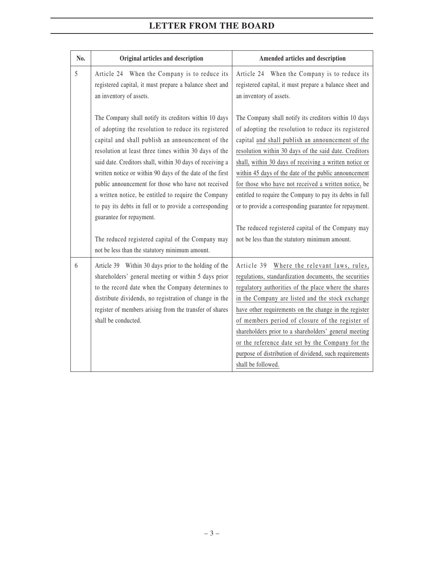| No. | Original articles and description                                                                                                                                                                                                                                                                                                                                                                                                                                                                                                                                                                                                                               | Amended articles and description                                                                                                                                                                                                                                                                                                                                                                                                                                                                                                                                                                                                  |
|-----|-----------------------------------------------------------------------------------------------------------------------------------------------------------------------------------------------------------------------------------------------------------------------------------------------------------------------------------------------------------------------------------------------------------------------------------------------------------------------------------------------------------------------------------------------------------------------------------------------------------------------------------------------------------------|-----------------------------------------------------------------------------------------------------------------------------------------------------------------------------------------------------------------------------------------------------------------------------------------------------------------------------------------------------------------------------------------------------------------------------------------------------------------------------------------------------------------------------------------------------------------------------------------------------------------------------------|
| 5   | Article 24 When the Company is to reduce its<br>registered capital, it must prepare a balance sheet and<br>an inventory of assets.                                                                                                                                                                                                                                                                                                                                                                                                                                                                                                                              | Article 24 When the Company is to reduce its<br>registered capital, it must prepare a balance sheet and<br>an inventory of assets.                                                                                                                                                                                                                                                                                                                                                                                                                                                                                                |
|     | The Company shall notify its creditors within 10 days<br>of adopting the resolution to reduce its registered<br>capital and shall publish an announcement of the<br>resolution at least three times within 30 days of the<br>said date. Creditors shall, within 30 days of receiving a<br>written notice or within 90 days of the date of the first<br>public announcement for those who have not received<br>a written notice, be entitled to require the Company<br>to pay its debts in full or to provide a corresponding<br>guarantee for repayment.<br>The reduced registered capital of the Company may<br>not be less than the statutory minimum amount. | The Company shall notify its creditors within 10 days<br>of adopting the resolution to reduce its registered<br>capital and shall publish an announcement of the<br>resolution within 30 days of the said date. Creditors<br>shall, within 30 days of receiving a written notice or<br>within 45 days of the date of the public announcement<br>for those who have not received a written notice, be<br>entitled to require the Company to pay its debts in full<br>or to provide a corresponding guarantee for repayment.<br>The reduced registered capital of the Company may<br>not be less than the statutory minimum amount. |
| 6   | Article 39 Within 30 days prior to the holding of the<br>shareholders' general meeting or within 5 days prior<br>to the record date when the Company determines to<br>distribute dividends, no registration of change in the<br>register of members arising from the transfer of shares<br>shall be conducted.                                                                                                                                                                                                                                                                                                                                                  | Article 39 Where the relevant laws, rules,<br>regulations, standardization documents, the securities<br>regulatory authorities of the place where the shares<br>in the Company are listed and the stock exchange<br>have other requirements on the change in the register<br>of members period of closure of the register of<br>shareholders prior to a shareholders' general meeting<br>or the reference date set by the Company for the<br>purpose of distribution of dividend, such requirements<br>shall be followed.                                                                                                         |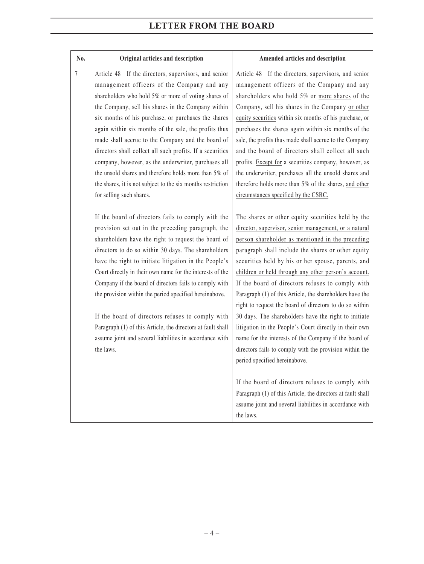| No. | Original articles and description                                                                                                                                                                                                                                                                                                                                                                                                                                                                                                                                                                                                                                                                                                                                                                                                                                                                                                                                                                                                                                                                                                                                                                                                                                                                                           | Amended articles and description                                                                                                                                                                                                                                                                                                                                                                                                                                                                                                                                                                                                                                                                                                                                                                                                                                                                                                                                                                                                                                                                                                                                                                                                                                                                                                                                                                                                                                                                                                                                                                                                   |
|-----|-----------------------------------------------------------------------------------------------------------------------------------------------------------------------------------------------------------------------------------------------------------------------------------------------------------------------------------------------------------------------------------------------------------------------------------------------------------------------------------------------------------------------------------------------------------------------------------------------------------------------------------------------------------------------------------------------------------------------------------------------------------------------------------------------------------------------------------------------------------------------------------------------------------------------------------------------------------------------------------------------------------------------------------------------------------------------------------------------------------------------------------------------------------------------------------------------------------------------------------------------------------------------------------------------------------------------------|------------------------------------------------------------------------------------------------------------------------------------------------------------------------------------------------------------------------------------------------------------------------------------------------------------------------------------------------------------------------------------------------------------------------------------------------------------------------------------------------------------------------------------------------------------------------------------------------------------------------------------------------------------------------------------------------------------------------------------------------------------------------------------------------------------------------------------------------------------------------------------------------------------------------------------------------------------------------------------------------------------------------------------------------------------------------------------------------------------------------------------------------------------------------------------------------------------------------------------------------------------------------------------------------------------------------------------------------------------------------------------------------------------------------------------------------------------------------------------------------------------------------------------------------------------------------------------------------------------------------------------|
| 7   | Article 48 If the directors, supervisors, and senior<br>management officers of the Company and any<br>shareholders who hold 5% or more of voting shares of<br>the Company, sell his shares in the Company within<br>six months of his purchase, or purchases the shares<br>again within six months of the sale, the profits thus<br>made shall accrue to the Company and the board of<br>directors shall collect all such profits. If a securities<br>company, however, as the underwriter, purchases all<br>the unsold shares and therefore holds more than 5% of<br>the shares, it is not subject to the six months restriction<br>for selling such shares.<br>If the board of directors fails to comply with the<br>provision set out in the preceding paragraph, the<br>shareholders have the right to request the board of<br>directors to do so within 30 days. The shareholders<br>have the right to initiate litigation in the People's<br>Court directly in their own name for the interests of the<br>Company if the board of directors fails to comply with<br>the provision within the period specified hereinabove.<br>If the board of directors refuses to comply with<br>Paragraph (1) of this Article, the directors at fault shall<br>assume joint and several liabilities in accordance with<br>the laws. | Article 48 If the directors, supervisors, and senior<br>management officers of the Company and any<br>shareholders who hold 5% or more shares of the<br>Company, sell his shares in the Company or other<br>equity securities within six months of his purchase, or<br>purchases the shares again within six months of the<br>sale, the profits thus made shall accrue to the Company<br>and the board of directors shall collect all such<br>profits. Except for a securities company, however, as<br>the underwriter, purchases all the unsold shares and<br>therefore holds more than 5% of the shares, and other<br>circumstances specified by the CSRC.<br>The shares or other equity securities held by the<br>director, supervisor, senior management, or a natural<br>person shareholder as mentioned in the preceding<br>paragraph shall include the shares or other equity<br>securities held by his or her spouse, parents, and<br>children or held through any other person's account.<br>If the board of directors refuses to comply with<br>Paragraph (1) of this Article, the shareholders have the<br>right to request the board of directors to do so within<br>30 days. The shareholders have the right to initiate<br>litigation in the People's Court directly in their own<br>name for the interests of the Company if the board of<br>directors fails to comply with the provision within the<br>period specified hereinabove.<br>If the board of directors refuses to comply with<br>Paragraph (1) of this Article, the directors at fault shall<br>assume joint and several liabilities in accordance with |
|     |                                                                                                                                                                                                                                                                                                                                                                                                                                                                                                                                                                                                                                                                                                                                                                                                                                                                                                                                                                                                                                                                                                                                                                                                                                                                                                                             | the laws.                                                                                                                                                                                                                                                                                                                                                                                                                                                                                                                                                                                                                                                                                                                                                                                                                                                                                                                                                                                                                                                                                                                                                                                                                                                                                                                                                                                                                                                                                                                                                                                                                          |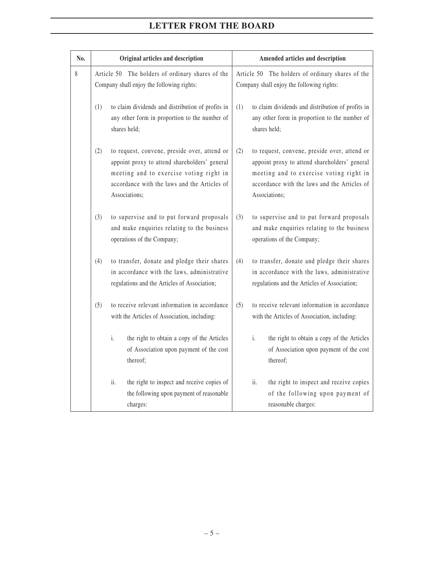| No. |     | Original articles and description                                                                                                                                                                         | Amended articles and description                                                                                                                                                                                 |
|-----|-----|-----------------------------------------------------------------------------------------------------------------------------------------------------------------------------------------------------------|------------------------------------------------------------------------------------------------------------------------------------------------------------------------------------------------------------------|
| 8   |     | Article 50 The holders of ordinary shares of the<br>Company shall enjoy the following rights:                                                                                                             | Article 50 The holders of ordinary shares of the<br>Company shall enjoy the following rights:                                                                                                                    |
|     | (1) | to claim dividends and distribution of profits in<br>any other form in proportion to the number of<br>shares held;                                                                                        | to claim dividends and distribution of profits in<br>(1)<br>any other form in proportion to the number of<br>shares held;                                                                                        |
|     | (2) | to request, convene, preside over, attend or<br>appoint proxy to attend shareholders' general<br>meeting and to exercise voting right in<br>accordance with the laws and the Articles of<br>Associations; | (2)<br>to request, convene, preside over, attend or<br>appoint proxy to attend shareholders' general<br>meeting and to exercise voting right in<br>accordance with the laws and the Articles of<br>Associations; |
|     | (3) | to supervise and to put forward proposals<br>and make enquiries relating to the business<br>operations of the Company;                                                                                    | to supervise and to put forward proposals<br>(3)<br>and make enquiries relating to the business<br>operations of the Company;                                                                                    |
|     | (4) | to transfer, donate and pledge their shares<br>in accordance with the laws, administrative<br>regulations and the Articles of Association;                                                                | (4)<br>to transfer, donate and pledge their shares<br>in accordance with the laws, administrative<br>regulations and the Articles of Association;                                                                |
|     | (5) | to receive relevant information in accordance<br>with the Articles of Association, including:                                                                                                             | to receive relevant information in accordance<br>(5)<br>with the Articles of Association, including:                                                                                                             |
|     |     | i.<br>the right to obtain a copy of the Articles<br>of Association upon payment of the cost<br>thereof;                                                                                                   | i.<br>the right to obtain a copy of the Articles<br>of Association upon payment of the cost<br>thereof;                                                                                                          |
|     |     | ii.<br>the right to inspect and receive copies of<br>the following upon payment of reasonable<br>charges:                                                                                                 | the right to inspect and receive copies<br>ii.<br>of the following upon payment of<br>reasonable charges:                                                                                                        |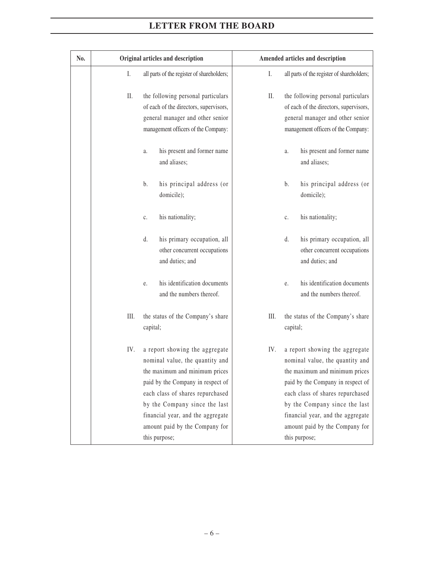| No. |      | Original articles and description                                                                                                                                                                                                                                                                     | Amended articles and description                                                                                                                                                                                                                                                                             |
|-----|------|-------------------------------------------------------------------------------------------------------------------------------------------------------------------------------------------------------------------------------------------------------------------------------------------------------|--------------------------------------------------------------------------------------------------------------------------------------------------------------------------------------------------------------------------------------------------------------------------------------------------------------|
|     | I.   | all parts of the register of shareholders;                                                                                                                                                                                                                                                            | I.<br>all parts of the register of shareholders;                                                                                                                                                                                                                                                             |
|     | П.   | the following personal particulars<br>of each of the directors, supervisors,<br>general manager and other senior<br>management officers of the Company:                                                                                                                                               | П.<br>the following personal particulars<br>of each of the directors, supervisors,<br>general manager and other senior<br>management officers of the Company:                                                                                                                                                |
|     |      | his present and former name<br>a.<br>and aliases;                                                                                                                                                                                                                                                     | his present and former name<br>a.<br>and aliases;                                                                                                                                                                                                                                                            |
|     |      | his principal address (or<br>b.<br>domicile);                                                                                                                                                                                                                                                         | his principal address (or<br>b.<br>domicile);                                                                                                                                                                                                                                                                |
|     |      | his nationality;<br>c.                                                                                                                                                                                                                                                                                | his nationality;<br>$\mathfrak{c}.$                                                                                                                                                                                                                                                                          |
|     |      | his primary occupation, all<br>d.<br>other concurrent occupations<br>and duties; and                                                                                                                                                                                                                  | his primary occupation, all<br>d.<br>other concurrent occupations<br>and duties; and                                                                                                                                                                                                                         |
|     |      | his identification documents<br>e.<br>and the numbers thereof.                                                                                                                                                                                                                                        | his identification documents<br>e.<br>and the numbers thereof.                                                                                                                                                                                                                                               |
|     | III. | the status of the Company's share<br>capital;                                                                                                                                                                                                                                                         | III.<br>the status of the Company's share<br>capital;                                                                                                                                                                                                                                                        |
|     | IV.  | a report showing the aggregate<br>nominal value, the quantity and<br>the maximum and minimum prices<br>paid by the Company in respect of<br>each class of shares repurchased<br>by the Company since the last<br>financial year, and the aggregate<br>amount paid by the Company for<br>this purpose; | IV.<br>a report showing the aggregate<br>nominal value, the quantity and<br>the maximum and minimum prices<br>paid by the Company in respect of<br>each class of shares repurchased<br>by the Company since the last<br>financial year, and the aggregate<br>amount paid by the Company for<br>this purpose; |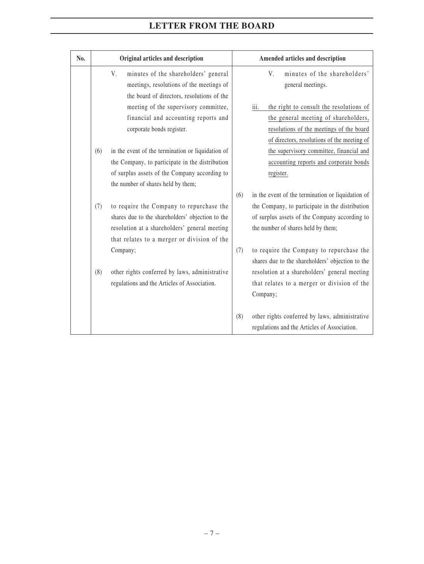| No. |     | Original articles and description                                                                                                                                                            |     | Amended articles and description                                                                                                                                                                         |
|-----|-----|----------------------------------------------------------------------------------------------------------------------------------------------------------------------------------------------|-----|----------------------------------------------------------------------------------------------------------------------------------------------------------------------------------------------------------|
|     |     | V.<br>minutes of the shareholders' general<br>meetings, resolutions of the meetings of<br>the board of directors, resolutions of the                                                         |     | V.<br>minutes of the shareholders'<br>general meetings.                                                                                                                                                  |
|     |     | meeting of the supervisory committee,<br>financial and accounting reports and<br>corporate bonds register.                                                                                   |     | the right to consult the resolutions of<br>iii.<br>the general meeting of shareholders,<br>resolutions of the meetings of the board<br>of directors, resolutions of the meeting of                       |
|     | (6) | in the event of the termination or liquidation of<br>the Company, to participate in the distribution<br>of surplus assets of the Company according to<br>the number of shares held by them;  |     | the supervisory committee, financial and<br>accounting reports and corporate bonds<br>register.                                                                                                          |
|     | (7) | to require the Company to repurchase the<br>shares due to the shareholders' objection to the<br>resolution at a shareholders' general meeting<br>that relates to a merger or division of the | (6) | in the event of the termination or liquidation of<br>the Company, to participate in the distribution<br>of surplus assets of the Company according to<br>the number of shares held by them;              |
|     | (8) | Company;<br>other rights conferred by laws, administrative<br>regulations and the Articles of Association.                                                                                   | (7) | to require the Company to repurchase the<br>shares due to the shareholders' objection to the<br>resolution at a shareholders' general meeting<br>that relates to a merger or division of the<br>Company; |
|     |     |                                                                                                                                                                                              | (8) | other rights conferred by laws, administrative<br>regulations and the Articles of Association.                                                                                                           |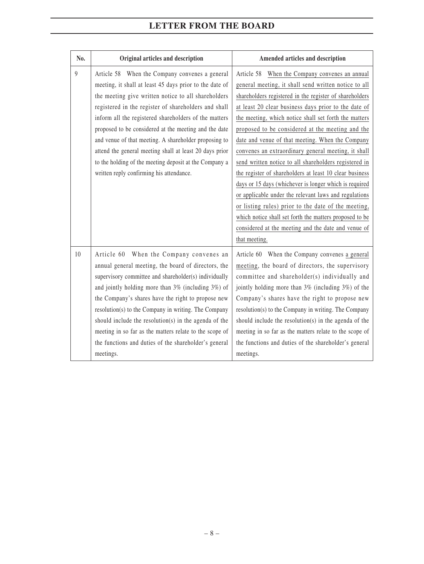| No.            | Original articles and description                                                                                                                                                                                                                                                                                                                                                                                                                                                                                                                                    | Amended articles and description                                                                                                                                                                                                                                                                                                                                                                                                                                                                                                                                                                                                                                                                                                                                                                                                                                                      |
|----------------|----------------------------------------------------------------------------------------------------------------------------------------------------------------------------------------------------------------------------------------------------------------------------------------------------------------------------------------------------------------------------------------------------------------------------------------------------------------------------------------------------------------------------------------------------------------------|---------------------------------------------------------------------------------------------------------------------------------------------------------------------------------------------------------------------------------------------------------------------------------------------------------------------------------------------------------------------------------------------------------------------------------------------------------------------------------------------------------------------------------------------------------------------------------------------------------------------------------------------------------------------------------------------------------------------------------------------------------------------------------------------------------------------------------------------------------------------------------------|
| $\overline{9}$ | Article 58 When the Company convenes a general<br>meeting, it shall at least 45 days prior to the date of<br>the meeting give written notice to all shareholders<br>registered in the register of shareholders and shall<br>inform all the registered shareholders of the matters<br>proposed to be considered at the meeting and the date<br>and venue of that meeting. A shareholder proposing to<br>attend the general meeting shall at least 20 days prior<br>to the holding of the meeting deposit at the Company a<br>written reply confirming his attendance. | When the Company convenes an annual<br>Article 58<br>general meeting, it shall send written notice to all<br>shareholders registered in the register of shareholders<br>at least 20 clear business days prior to the date of<br>the meeting, which notice shall set forth the matters<br>proposed to be considered at the meeting and the<br>date and venue of that meeting. When the Company<br>convenes an extraordinary general meeting, it shall<br>send written notice to all shareholders registered in<br>the register of shareholders at least 10 clear business<br>days or 15 days (whichever is longer which is required<br>or applicable under the relevant laws and regulations<br>or listing rules) prior to the date of the meeting,<br>which notice shall set forth the matters proposed to be<br>considered at the meeting and the date and venue of<br>that meeting. |
| 10             | Article 60 When the Company convenes an<br>annual general meeting, the board of directors, the<br>supervisory committee and shareholder(s) individually<br>and jointly holding more than $3\%$ (including $3\%$ ) of<br>the Company's shares have the right to propose new<br>resolution(s) to the Company in writing. The Company<br>should include the resolution(s) in the agenda of the<br>meeting in so far as the matters relate to the scope of<br>the functions and duties of the shareholder's general<br>meetings.                                         | Article 60 When the Company convenes a general<br>meeting, the board of directors, the supervisory<br>committee and shareholder(s) individually and<br>jointly holding more than 3% (including 3%) of the<br>Company's shares have the right to propose new<br>resolution(s) to the Company in writing. The Company<br>should include the resolution(s) in the agenda of the<br>meeting in so far as the matters relate to the scope of<br>the functions and duties of the shareholder's general<br>meetings.                                                                                                                                                                                                                                                                                                                                                                         |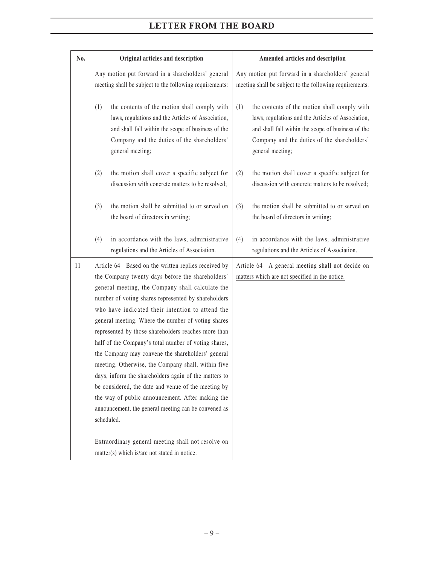| No. | Original articles and description                                                                                                                                                                                                                                                                                                                                                                                                                                                                                                                                                                                                                                                                                                                                                                | Amended articles and description                                                                                                                                                                                                   |
|-----|--------------------------------------------------------------------------------------------------------------------------------------------------------------------------------------------------------------------------------------------------------------------------------------------------------------------------------------------------------------------------------------------------------------------------------------------------------------------------------------------------------------------------------------------------------------------------------------------------------------------------------------------------------------------------------------------------------------------------------------------------------------------------------------------------|------------------------------------------------------------------------------------------------------------------------------------------------------------------------------------------------------------------------------------|
|     | Any motion put forward in a shareholders' general<br>meeting shall be subject to the following requirements:                                                                                                                                                                                                                                                                                                                                                                                                                                                                                                                                                                                                                                                                                     | Any motion put forward in a shareholders' general<br>meeting shall be subject to the following requirements:                                                                                                                       |
|     | the contents of the motion shall comply with<br>(1)<br>laws, regulations and the Articles of Association,<br>and shall fall within the scope of business of the<br>Company and the duties of the shareholders'<br>general meeting;                                                                                                                                                                                                                                                                                                                                                                                                                                                                                                                                                               | the contents of the motion shall comply with<br>(1)<br>laws, regulations and the Articles of Association,<br>and shall fall within the scope of business of the<br>Company and the duties of the shareholders'<br>general meeting; |
|     | the motion shall cover a specific subject for<br>(2)<br>discussion with concrete matters to be resolved;                                                                                                                                                                                                                                                                                                                                                                                                                                                                                                                                                                                                                                                                                         | the motion shall cover a specific subject for<br>(2)<br>discussion with concrete matters to be resolved;                                                                                                                           |
|     | the motion shall be submitted to or served on<br>(3)<br>the board of directors in writing;                                                                                                                                                                                                                                                                                                                                                                                                                                                                                                                                                                                                                                                                                                       | the motion shall be submitted to or served on<br>(3)<br>the board of directors in writing;                                                                                                                                         |
|     | in accordance with the laws, administrative<br>(4)<br>regulations and the Articles of Association.                                                                                                                                                                                                                                                                                                                                                                                                                                                                                                                                                                                                                                                                                               | in accordance with the laws, administrative<br>(4)<br>regulations and the Articles of Association.                                                                                                                                 |
| 11  | Article 64 Based on the written replies received by<br>the Company twenty days before the shareholders'<br>general meeting, the Company shall calculate the<br>number of voting shares represented by shareholders<br>who have indicated their intention to attend the<br>general meeting. Where the number of voting shares<br>represented by those shareholders reaches more than<br>half of the Company's total number of voting shares,<br>the Company may convene the shareholders' general<br>meeting. Otherwise, the Company shall, within five<br>days, inform the shareholders again of the matters to<br>be considered, the date and venue of the meeting by<br>the way of public announcement. After making the<br>announcement, the general meeting can be convened as<br>scheduled. | Article 64 A general meeting shall not decide on<br>matters which are not specified in the notice.                                                                                                                                 |
|     | Extraordinary general meeting shall not resolve on<br>matter(s) which is/are not stated in notice.                                                                                                                                                                                                                                                                                                                                                                                                                                                                                                                                                                                                                                                                                               |                                                                                                                                                                                                                                    |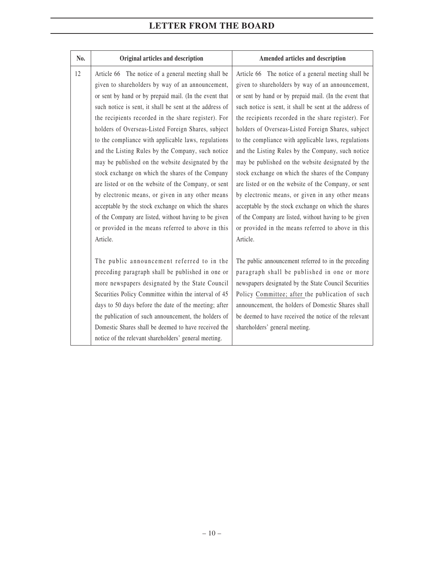| No. | Original articles and description                       | Amended articles and description                        |
|-----|---------------------------------------------------------|---------------------------------------------------------|
| 12  | Article 66 The notice of a general meeting shall be     | Article 66 The notice of a general meeting shall be     |
|     | given to shareholders by way of an announcement,        | given to shareholders by way of an announcement,        |
|     | or sent by hand or by prepaid mail. (In the event that  | or sent by hand or by prepaid mail. (In the event that  |
|     | such notice is sent, it shall be sent at the address of | such notice is sent, it shall be sent at the address of |
|     | the recipients recorded in the share register). For     | the recipients recorded in the share register). For     |
|     | holders of Overseas-Listed Foreign Shares, subject      | holders of Overseas-Listed Foreign Shares, subject      |
|     | to the compliance with applicable laws, regulations     | to the compliance with applicable laws, regulations     |
|     | and the Listing Rules by the Company, such notice       | and the Listing Rules by the Company, such notice       |
|     | may be published on the website designated by the       | may be published on the website designated by the       |
|     | stock exchange on which the shares of the Company       | stock exchange on which the shares of the Company       |
|     | are listed or on the website of the Company, or sent    | are listed or on the website of the Company, or sent    |
|     | by electronic means, or given in any other means        | by electronic means, or given in any other means        |
|     | acceptable by the stock exchange on which the shares    | acceptable by the stock exchange on which the shares    |
|     | of the Company are listed, without having to be given   | of the Company are listed, without having to be given   |
|     | or provided in the means referred to above in this      | or provided in the means referred to above in this      |
|     | Article.                                                | Article.                                                |
|     |                                                         |                                                         |
|     | The public announcement referred to in the              | The public announcement referred to in the preceding    |
|     | preceding paragraph shall be published in one or        | paragraph shall be published in one or more             |
|     | more newspapers designated by the State Council         | newspapers designated by the State Council Securities   |
|     | Securities Policy Committee within the interval of 45   | Policy Committee; after the publication of such         |
|     | days to 50 days before the date of the meeting; after   | announcement, the holders of Domestic Shares shall      |
|     | the publication of such announcement, the holders of    | be deemed to have received the notice of the relevant   |
|     | Domestic Shares shall be deemed to have received the    | shareholders' general meeting.                          |
|     | notice of the relevant shareholders' general meeting.   |                                                         |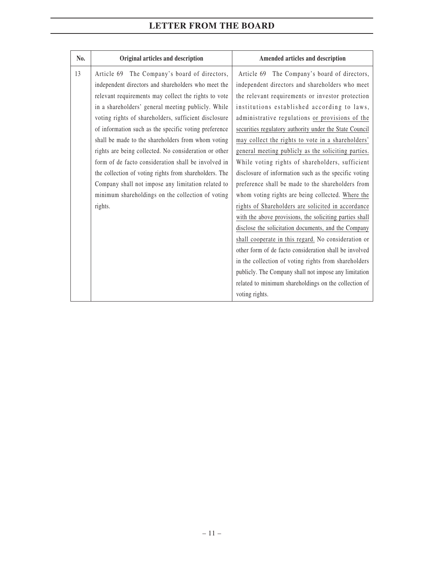| No. | Original articles and description                      | Amended articles and description                        |
|-----|--------------------------------------------------------|---------------------------------------------------------|
| 13  | Article 69 The Company's board of directors,           | Article 69 The Company's board of directors,            |
|     | independent directors and shareholders who meet the    | independent directors and shareholders who meet         |
|     | relevant requirements may collect the rights to vote   | the relevant requirements or investor protection        |
|     | in a shareholders' general meeting publicly. While     | institutions established according to laws,             |
|     | voting rights of shareholders, sufficient disclosure   | administrative regulations or provisions of the         |
|     | of information such as the specific voting preference  | securities regulatory authority under the State Council |
|     | shall be made to the shareholders from whom voting     | may collect the rights to vote in a shareholders'       |
|     | rights are being collected. No consideration or other  | general meeting publicly as the soliciting parties.     |
|     | form of de facto consideration shall be involved in    | While voting rights of shareholders, sufficient         |
|     | the collection of voting rights from shareholders. The | disclosure of information such as the specific voting   |
|     | Company shall not impose any limitation related to     | preference shall be made to the shareholders from       |
|     | minimum shareholdings on the collection of voting      | whom voting rights are being collected. Where the       |
|     | rights.                                                | rights of Shareholders are solicited in accordance      |
|     |                                                        | with the above provisions, the soliciting parties shall |
|     |                                                        | disclose the solicitation documents, and the Company    |
|     |                                                        | shall cooperate in this regard. No consideration or     |
|     |                                                        | other form of de facto consideration shall be involved  |
|     |                                                        | in the collection of voting rights from shareholders    |
|     |                                                        | publicly. The Company shall not impose any limitation   |
|     |                                                        | related to minimum shareholdings on the collection of   |
|     |                                                        | voting rights.                                          |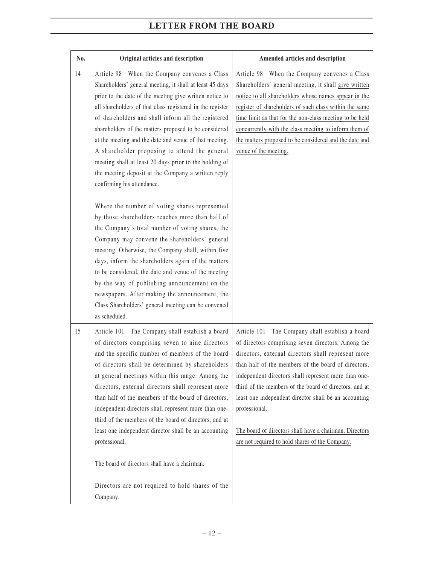| No. | Original articles and description                                                                                                                                                                                                                                                                                                                                                                                                                                                                                                                                                                                       | Amended articles and description                                                                                                                                                                                                                                                                                                                                                                                                                                                                                             |
|-----|-------------------------------------------------------------------------------------------------------------------------------------------------------------------------------------------------------------------------------------------------------------------------------------------------------------------------------------------------------------------------------------------------------------------------------------------------------------------------------------------------------------------------------------------------------------------------------------------------------------------------|------------------------------------------------------------------------------------------------------------------------------------------------------------------------------------------------------------------------------------------------------------------------------------------------------------------------------------------------------------------------------------------------------------------------------------------------------------------------------------------------------------------------------|
| 14  | Article 98 When the Company convenes a Class<br>Shareholders' general meeting, it shall at least 45 days<br>prior to the date of the meeting give written notice to<br>all shareholders of that class registered in the register<br>of shareholders and shall inform all the registered<br>shareholders of the matters proposed to be considered<br>at the meeting and the date and venue of that meeting.<br>A shareholder proposing to attend the general<br>meeting shall at least 20 days prior to the holding of<br>the meeting deposit at the Company a written reply<br>confirming his attendance.               | Article 98 When the Company convenes a Class<br>Shareholders' general meeting, it shall give written<br>notice to all shareholders whose names appear in the<br>register of shareholders of such class within the same<br>time limit as that for the non-class meeting to be held<br>concurrently with the class meeting to inform them of<br>the matters proposed to be considered and the date and<br>venue of the meeting.                                                                                                |
|     | Where the number of voting shares represented<br>by those shareholders reaches more than half of<br>the Company's total number of voting shares, the<br>Company may convene the shareholders' general<br>meeting. Otherwise, the Company shall, within five<br>days, inform the shareholders again of the matters<br>to be considered, the date and venue of the meeting<br>by the way of publishing announcement on the<br>newspapers. After making the announcement, the<br>Class Shareholders' general meeting can be convened<br>as scheduled.                                                                      |                                                                                                                                                                                                                                                                                                                                                                                                                                                                                                                              |
| 15  | Article 101 The Company shall establish a board<br>of directors comprising seven to nine directors<br>and the specific number of members of the board<br>of directors shall be determined by shareholders<br>at general meetings within this range. Among the<br>directors, external directors shall represent more<br>than half of the members of the board of directors,<br>independent directors shall represent more than one-<br>third of the members of the board of directors, and at<br>least one independent director shall be an accounting<br>professional.<br>The board of directors shall have a chairman. | Article 101 The Company shall establish a board<br>of directors comprising seven directors. Among the<br>directors, external directors shall represent more<br>than half of the members of the board of directors,<br>independent directors shall represent more than one-<br>third of the members of the board of directors, and at<br>least one independent director shall be an accounting<br>professional.<br>The board of directors shall have a chairman. Directors<br>are not required to hold shares of the Company. |
|     | Directors are not required to hold shares of the<br>Company.                                                                                                                                                                                                                                                                                                                                                                                                                                                                                                                                                            |                                                                                                                                                                                                                                                                                                                                                                                                                                                                                                                              |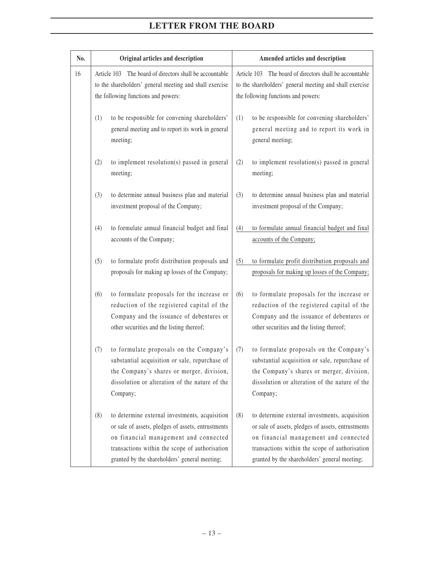| No. | Original articles and description                                                                                                                         |                                                                                                                                                                                                                                                  |                                                                                                                                                           | Amended articles and description                                                                                                                                                                                                                 |
|-----|-----------------------------------------------------------------------------------------------------------------------------------------------------------|--------------------------------------------------------------------------------------------------------------------------------------------------------------------------------------------------------------------------------------------------|-----------------------------------------------------------------------------------------------------------------------------------------------------------|--------------------------------------------------------------------------------------------------------------------------------------------------------------------------------------------------------------------------------------------------|
| 16  | Article 103 The board of directors shall be accountable<br>to the shareholders' general meeting and shall exercise<br>the following functions and powers: |                                                                                                                                                                                                                                                  | Article 103 The board of directors shall be accountable<br>to the shareholders' general meeting and shall exercise<br>the following functions and powers: |                                                                                                                                                                                                                                                  |
|     | (1)                                                                                                                                                       | to be responsible for convening shareholders'<br>general meeting and to report its work in general<br>meeting;                                                                                                                                   | (1)                                                                                                                                                       | to be responsible for convening shareholders'<br>general meeting and to report its work in<br>general meeting;                                                                                                                                   |
|     | (2)                                                                                                                                                       | to implement resolution(s) passed in general<br>meeting;                                                                                                                                                                                         | (2)                                                                                                                                                       | to implement resolution(s) passed in general<br>meeting;                                                                                                                                                                                         |
|     | (3)                                                                                                                                                       | to determine annual business plan and material<br>investment proposal of the Company;                                                                                                                                                            | (3)                                                                                                                                                       | to determine annual business plan and material<br>investment proposal of the Company;                                                                                                                                                            |
|     | (4)                                                                                                                                                       | to formulate annual financial budget and final<br>accounts of the Company;                                                                                                                                                                       | (4)                                                                                                                                                       | to formulate annual financial budget and final<br>accounts of the Company;                                                                                                                                                                       |
|     | (5)                                                                                                                                                       | to formulate profit distribution proposals and<br>proposals for making up losses of the Company;                                                                                                                                                 | (5)                                                                                                                                                       | to formulate profit distribution proposals and<br>proposals for making up losses of the Company;                                                                                                                                                 |
|     | (6)                                                                                                                                                       | to formulate proposals for the increase or<br>reduction of the registered capital of the<br>Company and the issuance of debentures or<br>other securities and the listing thereof;                                                               | (6)                                                                                                                                                       | to formulate proposals for the increase or<br>reduction of the registered capital of the<br>Company and the issuance of debentures or<br>other securities and the listing thereof;                                                               |
|     | (7)                                                                                                                                                       | to formulate proposals on the Company's<br>substantial acquisition or sale, repurchase of<br>the Company's shares or merger, division,<br>dissolution or alteration of the nature of the<br>Company;                                             | (7)                                                                                                                                                       | to formulate proposals on the Company's<br>substantial acquisition or sale, repurchase of<br>the Company's shares or merger, division,<br>dissolution or alteration of the nature of the<br>Company;                                             |
|     | (8)                                                                                                                                                       | to determine external investments, acquisition<br>or sale of assets, pledges of assets, entrustments<br>on financial management and connected<br>transactions within the scope of authorisation<br>granted by the shareholders' general meeting; | (8)                                                                                                                                                       | to determine external investments, acquisition<br>or sale of assets, pledges of assets, entrustments<br>on financial management and connected<br>transactions within the scope of authorisation<br>granted by the shareholders' general meeting; |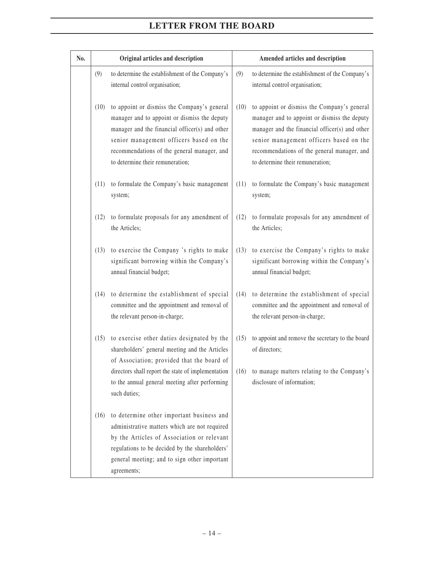| No. |      | Original articles and description                                                                                                                                                                                                                                           |      | Amended articles and description                                                                                                                                                                                                                                            |
|-----|------|-----------------------------------------------------------------------------------------------------------------------------------------------------------------------------------------------------------------------------------------------------------------------------|------|-----------------------------------------------------------------------------------------------------------------------------------------------------------------------------------------------------------------------------------------------------------------------------|
|     | (9)  | to determine the establishment of the Company's<br>internal control organisation;                                                                                                                                                                                           | (9)  | to determine the establishment of the Company's<br>internal control organisation;                                                                                                                                                                                           |
|     | (10) | to appoint or dismiss the Company's general<br>manager and to appoint or dismiss the deputy<br>manager and the financial officer(s) and other<br>senior management officers based on the<br>recommendations of the general manager, and<br>to determine their remuneration; | (10) | to appoint or dismiss the Company's general<br>manager and to appoint or dismiss the deputy<br>manager and the financial officer(s) and other<br>senior management officers based on the<br>recommendations of the general manager, and<br>to determine their remuneration; |
|     | (11) | to formulate the Company's basic management<br>system;                                                                                                                                                                                                                      | (11) | to formulate the Company's basic management<br>system;                                                                                                                                                                                                                      |
|     | (12) | to formulate proposals for any amendment of<br>the Articles;                                                                                                                                                                                                                | (12) | to formulate proposals for any amendment of<br>the Articles;                                                                                                                                                                                                                |
|     | (13) | to exercise the Company 's rights to make<br>significant borrowing within the Company's<br>annual financial budget;                                                                                                                                                         | (13) | to exercise the Company's rights to make<br>significant borrowing within the Company's<br>annual financial budget;                                                                                                                                                          |
|     | (14) | to determine the establishment of special<br>committee and the appointment and removal of<br>the relevant person-in-charge;                                                                                                                                                 | (14) | to determine the establishment of special<br>committee and the appointment and removal of<br>the relevant person-in-charge;                                                                                                                                                 |
|     | (15) | to exercise other duties designated by the<br>shareholders' general meeting and the Articles<br>of Association; provided that the board of                                                                                                                                  | (15) | to appoint and remove the secretary to the board<br>of directors;                                                                                                                                                                                                           |
|     |      | directors shall report the state of implementation<br>to the annual general meeting after performing<br>such duties;                                                                                                                                                        | (16) | to manage matters relating to the Company's<br>disclosure of information;                                                                                                                                                                                                   |
|     | (16) | to determine other important business and<br>administrative matters which are not required<br>by the Articles of Association or relevant<br>regulations to be decided by the shareholders'<br>general meeting; and to sign other important<br>agreements;                   |      |                                                                                                                                                                                                                                                                             |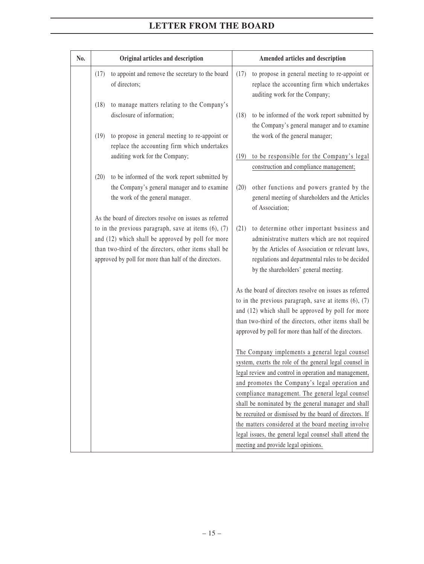| No. |      | Original articles and description                                                                              |      | Amended articles and description                                                                                                                                                                                                                                                            |
|-----|------|----------------------------------------------------------------------------------------------------------------|------|---------------------------------------------------------------------------------------------------------------------------------------------------------------------------------------------------------------------------------------------------------------------------------------------|
|     | (17) | to appoint and remove the secretary to the board<br>of directors;                                              | (17) | to propose in general meeting to re-appoint or<br>replace the accounting firm which undertakes<br>auditing work for the Company;                                                                                                                                                            |
|     | (18) | to manage matters relating to the Company's<br>disclosure of information;                                      | (18) | to be informed of the work report submitted by<br>the Company's general manager and to examine                                                                                                                                                                                              |
|     | (19) | to propose in general meeting to re-appoint or<br>replace the accounting firm which undertakes                 |      | the work of the general manager;                                                                                                                                                                                                                                                            |
|     |      | auditing work for the Company;                                                                                 | (19) | to be responsible for the Company's legal<br>construction and compliance management;                                                                                                                                                                                                        |
|     | (20) | to be informed of the work report submitted by                                                                 |      |                                                                                                                                                                                                                                                                                             |
|     |      | the Company's general manager and to examine<br>the work of the general manager.                               | (20) | other functions and powers granted by the<br>general meeting of shareholders and the Articles<br>of Association;                                                                                                                                                                            |
|     |      | As the board of directors resolve on issues as referred                                                        |      |                                                                                                                                                                                                                                                                                             |
|     |      | to in the previous paragraph, save at items $(6)$ , $(7)$<br>and (12) which shall be approved by poll for more | (21) | to determine other important business and<br>administrative matters which are not required                                                                                                                                                                                                  |
|     |      | than two-third of the directors, other items shall be                                                          |      | by the Articles of Association or relevant laws,                                                                                                                                                                                                                                            |
|     |      | approved by poll for more than half of the directors.                                                          |      | regulations and departmental rules to be decided<br>by the shareholders' general meeting.                                                                                                                                                                                                   |
|     |      |                                                                                                                |      | As the board of directors resolve on issues as referred<br>to in the previous paragraph, save at items $(6)$ , $(7)$<br>and (12) which shall be approved by poll for more<br>than two-third of the directors, other items shall be<br>approved by poll for more than half of the directors. |
|     |      |                                                                                                                |      | The Company implements a general legal counsel<br>system, exerts the role of the general legal counsel in                                                                                                                                                                                   |
|     |      |                                                                                                                |      | legal review and control in operation and management,<br>and promotes the Company's legal operation and                                                                                                                                                                                     |
|     |      |                                                                                                                |      | compliance management. The general legal counsel                                                                                                                                                                                                                                            |
|     |      |                                                                                                                |      | shall be nominated by the general manager and shall                                                                                                                                                                                                                                         |
|     |      |                                                                                                                |      | be recruited or dismissed by the board of directors. If                                                                                                                                                                                                                                     |
|     |      |                                                                                                                |      | the matters considered at the board meeting involve                                                                                                                                                                                                                                         |
|     |      |                                                                                                                |      | legal issues, the general legal counsel shall attend the                                                                                                                                                                                                                                    |
|     |      |                                                                                                                |      | meeting and provide legal opinions.                                                                                                                                                                                                                                                         |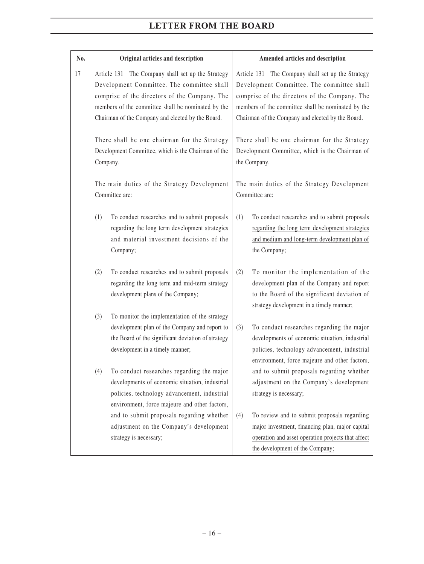| No. | Original articles and description                                                                                                                                                                                                                           | Amended articles and description                                                                                                                                                                                                                            |
|-----|-------------------------------------------------------------------------------------------------------------------------------------------------------------------------------------------------------------------------------------------------------------|-------------------------------------------------------------------------------------------------------------------------------------------------------------------------------------------------------------------------------------------------------------|
| 17  | Article 131 The Company shall set up the Strategy<br>Development Committee. The committee shall<br>comprise of the directors of the Company. The<br>members of the committee shall be nominated by the<br>Chairman of the Company and elected by the Board. | Article 131 The Company shall set up the Strategy<br>Development Committee. The committee shall<br>comprise of the directors of the Company. The<br>members of the committee shall be nominated by the<br>Chairman of the Company and elected by the Board. |
|     | There shall be one chairman for the Strategy<br>Development Committee, which is the Chairman of the<br>Company.                                                                                                                                             | There shall be one chairman for the Strategy<br>Development Committee, which is the Chairman of<br>the Company.                                                                                                                                             |
|     | The main duties of the Strategy Development<br>Committee are:                                                                                                                                                                                               | The main duties of the Strategy Development<br>Committee are:                                                                                                                                                                                               |
|     | (1)<br>To conduct researches and to submit proposals<br>regarding the long term development strategies<br>and material investment decisions of the<br>Company;                                                                                              | (1)<br>To conduct researches and to submit proposals<br>regarding the long term development strategies<br>and medium and long-term development plan of<br>the Company;                                                                                      |
|     | To conduct researches and to submit proposals<br>(2)<br>regarding the long term and mid-term strategy<br>development plans of the Company;                                                                                                                  | (2)<br>To monitor the implementation of the<br>development plan of the Company and report<br>to the Board of the significant deviation of<br>strategy development in a timely manner;                                                                       |
|     | To monitor the implementation of the strategy<br>(3)<br>development plan of the Company and report to<br>the Board of the significant deviation of strategy<br>development in a timely manner;                                                              | (3)<br>To conduct researches regarding the major<br>developments of economic situation, industrial<br>policies, technology advancement, industrial<br>environment, force majeure and other factors,                                                         |
|     | (4)<br>To conduct researches regarding the major<br>developments of economic situation, industrial<br>policies, technology advancement, industrial<br>environment, force majeure and other factors,                                                         | and to submit proposals regarding whether<br>adjustment on the Company's development<br>strategy is necessary;                                                                                                                                              |
|     | and to submit proposals regarding whether<br>adjustment on the Company's development<br>strategy is necessary;                                                                                                                                              | To review and to submit proposals regarding<br>(4)<br>major investment, financing plan, major capital<br>operation and asset operation projects that affect<br>the development of the Company;                                                              |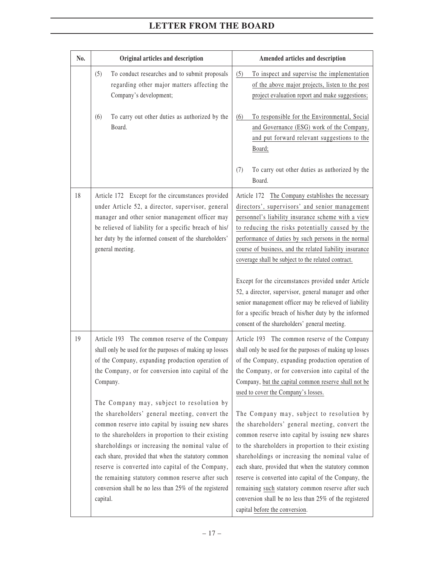| No. | Original articles and description                                                                                                                                                                                                                                                                                                                                                                                                                                                                                                                                                                                                                                                                                                     | Amended articles and description                                                                                                                                                                                                                                                                                                                                                                                                                                                                                                                                                                                                                                                                                                                                                                                                                    |
|-----|---------------------------------------------------------------------------------------------------------------------------------------------------------------------------------------------------------------------------------------------------------------------------------------------------------------------------------------------------------------------------------------------------------------------------------------------------------------------------------------------------------------------------------------------------------------------------------------------------------------------------------------------------------------------------------------------------------------------------------------|-----------------------------------------------------------------------------------------------------------------------------------------------------------------------------------------------------------------------------------------------------------------------------------------------------------------------------------------------------------------------------------------------------------------------------------------------------------------------------------------------------------------------------------------------------------------------------------------------------------------------------------------------------------------------------------------------------------------------------------------------------------------------------------------------------------------------------------------------------|
|     | To conduct researches and to submit proposals<br>(5)<br>regarding other major matters affecting the<br>Company's development;<br>(6)<br>To carry out other duties as authorized by the<br>Board.                                                                                                                                                                                                                                                                                                                                                                                                                                                                                                                                      | To inspect and supervise the implementation<br>(5)<br>of the above major projects, listen to the post<br>project evaluation report and make suggestions;<br>To responsible for the Environmental, Social<br>(6)<br>and Governance (ESG) work of the Company,<br>and put forward relevant suggestions to the<br>Board;                                                                                                                                                                                                                                                                                                                                                                                                                                                                                                                               |
|     |                                                                                                                                                                                                                                                                                                                                                                                                                                                                                                                                                                                                                                                                                                                                       | To carry out other duties as authorized by the<br>(7)<br>Board.                                                                                                                                                                                                                                                                                                                                                                                                                                                                                                                                                                                                                                                                                                                                                                                     |
| 18  | Article 172 Except for the circumstances provided<br>under Article 52, a director, supervisor, general<br>manager and other senior management officer may<br>be relieved of liability for a specific breach of his/<br>her duty by the informed consent of the shareholders'<br>general meeting.                                                                                                                                                                                                                                                                                                                                                                                                                                      | Article 172 The Company establishes the necessary<br>directors', supervisors' and senior management<br>personnel's liability insurance scheme with a view<br>to reducing the risks potentially caused by the<br>performance of duties by such persons in the normal<br>course of business, and the related liability insurance<br>coverage shall be subject to the related contract.<br>Except for the circumstances provided under Article<br>52, a director, supervisor, general manager and other<br>senior management officer may be relieved of liability<br>for a specific breach of his/her duty by the informed<br>consent of the shareholders' general meeting.                                                                                                                                                                            |
| 19  | Article 193 The common reserve of the Company<br>shall only be used for the purposes of making up losses<br>of the Company, expanding production operation of<br>the Company, or for conversion into capital of the<br>Company.<br>The Company may, subject to resolution by<br>the shareholders' general meeting, convert the<br>common reserve into capital by issuing new shares<br>to the shareholders in proportion to their existing<br>shareholdings or increasing the nominal value of<br>each share, provided that when the statutory common<br>reserve is converted into capital of the Company,<br>the remaining statutory common reserve after such<br>conversion shall be no less than 25% of the registered<br>capital. | Article 193 The common reserve of the Company<br>shall only be used for the purposes of making up losses<br>of the Company, expanding production operation of<br>the Company, or for conversion into capital of the<br>Company, but the capital common reserve shall not be<br>used to cover the Company's losses.<br>The Company may, subject to resolution by<br>the shareholders' general meeting, convert the<br>common reserve into capital by issuing new shares<br>to the shareholders in proportion to their existing<br>shareholdings or increasing the nominal value of<br>each share, provided that when the statutory common<br>reserve is converted into capital of the Company, the<br>remaining such statutory common reserve after such<br>conversion shall be no less than 25% of the registered<br>capital before the conversion. |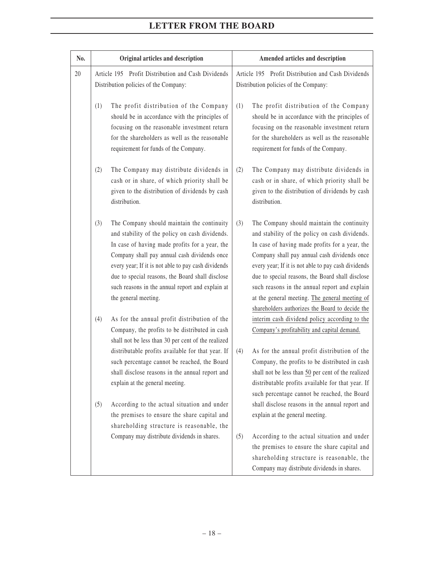| No. | Original articles and description                                                                                                                                                                                                                                                                                                                                                            | Amended articles and description                                                                                                                                                                                                                                                                                                                                                                                                                                       |  |
|-----|----------------------------------------------------------------------------------------------------------------------------------------------------------------------------------------------------------------------------------------------------------------------------------------------------------------------------------------------------------------------------------------------|------------------------------------------------------------------------------------------------------------------------------------------------------------------------------------------------------------------------------------------------------------------------------------------------------------------------------------------------------------------------------------------------------------------------------------------------------------------------|--|
| 20  | Article 195 Profit Distribution and Cash Dividends<br>Distribution policies of the Company:                                                                                                                                                                                                                                                                                                  | Article 195 Profit Distribution and Cash Dividends<br>Distribution policies of the Company:                                                                                                                                                                                                                                                                                                                                                                            |  |
|     | The profit distribution of the Company<br>(1)<br>should be in accordance with the principles of<br>focusing on the reasonable investment return<br>for the shareholders as well as the reasonable<br>requirement for funds of the Company.                                                                                                                                                   | The profit distribution of the Company<br>(1)<br>should be in accordance with the principles of<br>focusing on the reasonable investment return<br>for the shareholders as well as the reasonable<br>requirement for funds of the Company.                                                                                                                                                                                                                             |  |
|     | The Company may distribute dividends in<br>(2)<br>cash or in share, of which priority shall be<br>given to the distribution of dividends by cash<br>distribution.                                                                                                                                                                                                                            | The Company may distribute dividends in<br>(2)<br>cash or in share, of which priority shall be<br>given to the distribution of dividends by cash<br>distribution.                                                                                                                                                                                                                                                                                                      |  |
|     | (3)<br>The Company should maintain the continuity<br>and stability of the policy on cash dividends.<br>In case of having made profits for a year, the<br>Company shall pay annual cash dividends once<br>every year; If it is not able to pay cash dividends<br>due to special reasons, the Board shall disclose<br>such reasons in the annual report and explain at<br>the general meeting. | (3)<br>The Company should maintain the continuity<br>and stability of the policy on cash dividends.<br>In case of having made profits for a year, the<br>Company shall pay annual cash dividends once<br>every year; If it is not able to pay cash dividends<br>due to special reasons, the Board shall disclose<br>such reasons in the annual report and explain<br>at the general meeting. The general meeting of<br>shareholders authorizes the Board to decide the |  |
|     | As for the annual profit distribution of the<br>(4)<br>Company, the profits to be distributed in cash<br>shall not be less than 30 per cent of the realized<br>distributable profits available for that year. If<br>such percentage cannot be reached, the Board<br>shall disclose reasons in the annual report and<br>explain at the general meeting.                                       | interim cash dividend policy according to the<br>Company's profitability and capital demand.<br>As for the annual profit distribution of the<br>(4)<br>Company, the profits to be distributed in cash<br>shall not be less than 50 per cent of the realized<br>distributable profits available for that year. If<br>such percentage cannot be reached, the Board                                                                                                       |  |
|     | According to the actual situation and under<br>(5)<br>the premises to ensure the share capital and<br>shareholding structure is reasonable, the                                                                                                                                                                                                                                              | shall disclose reasons in the annual report and<br>explain at the general meeting.                                                                                                                                                                                                                                                                                                                                                                                     |  |
|     | Company may distribute dividends in shares.                                                                                                                                                                                                                                                                                                                                                  | (5)<br>According to the actual situation and under<br>the premises to ensure the share capital and<br>shareholding structure is reasonable, the<br>Company may distribute dividends in shares.                                                                                                                                                                                                                                                                         |  |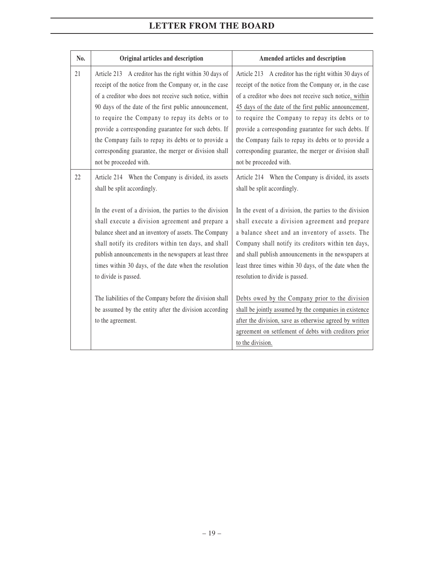| No. | Original articles and description                                                                                                                                                                                                                                                                                                                                                                                                                                                         | Amended articles and description                                                                                                                                                                                                                                                                                                                                                                                                                                                          |
|-----|-------------------------------------------------------------------------------------------------------------------------------------------------------------------------------------------------------------------------------------------------------------------------------------------------------------------------------------------------------------------------------------------------------------------------------------------------------------------------------------------|-------------------------------------------------------------------------------------------------------------------------------------------------------------------------------------------------------------------------------------------------------------------------------------------------------------------------------------------------------------------------------------------------------------------------------------------------------------------------------------------|
| 21  | Article 213 A creditor has the right within 30 days of<br>receipt of the notice from the Company or, in the case<br>of a creditor who does not receive such notice, within<br>90 days of the date of the first public announcement,<br>to require the Company to repay its debts or to<br>provide a corresponding guarantee for such debts. If<br>the Company fails to repay its debts or to provide a<br>corresponding guarantee, the merger or division shall<br>not be proceeded with. | Article 213 A creditor has the right within 30 days of<br>receipt of the notice from the Company or, in the case<br>of a creditor who does not receive such notice, within<br>45 days of the date of the first public announcement,<br>to require the Company to repay its debts or to<br>provide a corresponding guarantee for such debts. If<br>the Company fails to repay its debts or to provide a<br>corresponding guarantee, the merger or division shall<br>not be proceeded with. |
| 22  | Article 214 When the Company is divided, its assets<br>shall be split accordingly.<br>In the event of a division, the parties to the division                                                                                                                                                                                                                                                                                                                                             | Article 214 When the Company is divided, its assets<br>shall be split accordingly.<br>In the event of a division, the parties to the division                                                                                                                                                                                                                                                                                                                                             |
|     | shall execute a division agreement and prepare a<br>balance sheet and an inventory of assets. The Company<br>shall notify its creditors within ten days, and shall<br>publish announcements in the newspapers at least three<br>times within 30 days, of the date when the resolution<br>to divide is passed.                                                                                                                                                                             | shall execute a division agreement and prepare<br>a balance sheet and an inventory of assets. The<br>Company shall notify its creditors within ten days,<br>and shall publish announcements in the newspapers at<br>least three times within 30 days, of the date when the<br>resolution to divide is passed.                                                                                                                                                                             |
|     | The liabilities of the Company before the division shall<br>be assumed by the entity after the division according<br>to the agreement.                                                                                                                                                                                                                                                                                                                                                    | Debts owed by the Company prior to the division<br>shall be jointly assumed by the companies in existence<br>after the division, save as otherwise agreed by written<br>agreement on settlement of debts with creditors prior<br>to the division.                                                                                                                                                                                                                                         |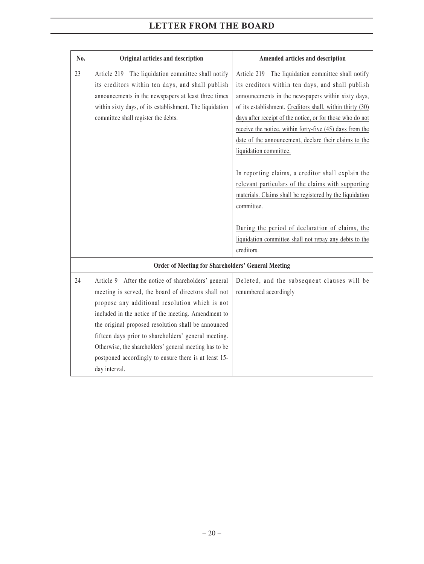| No. | Original articles and description                                                                                                                                                                                                                                                                                                                                                                                                                                      | Amended articles and description                                                                                                                                                                                                                                                                                                                                                                                                                                                                                                                                                                                                                                                                                                                      |
|-----|------------------------------------------------------------------------------------------------------------------------------------------------------------------------------------------------------------------------------------------------------------------------------------------------------------------------------------------------------------------------------------------------------------------------------------------------------------------------|-------------------------------------------------------------------------------------------------------------------------------------------------------------------------------------------------------------------------------------------------------------------------------------------------------------------------------------------------------------------------------------------------------------------------------------------------------------------------------------------------------------------------------------------------------------------------------------------------------------------------------------------------------------------------------------------------------------------------------------------------------|
| 23  | Article 219 The liquidation committee shall notify<br>its creditors within ten days, and shall publish<br>announcements in the newspapers at least three times<br>within sixty days, of its establishment. The liquidation<br>committee shall register the debts.                                                                                                                                                                                                      | Article 219 The liquidation committee shall notify<br>its creditors within ten days, and shall publish<br>announcements in the newspapers within sixty days,<br>of its establishment. Creditors shall, within thirty (30)<br>days after receipt of the notice, or for those who do not<br>receive the notice, within forty-five (45) days from the<br>date of the announcement, declare their claims to the<br>liquidation committee.<br>In reporting claims, a creditor shall explain the<br>relevant particulars of the claims with supporting<br>materials. Claims shall be registered by the liquidation<br>committee.<br>During the period of declaration of claims, the<br>liquidation committee shall not repay any debts to the<br>creditors. |
|     | <b>Order of Meeting for Shareholders' General Meeting</b>                                                                                                                                                                                                                                                                                                                                                                                                              |                                                                                                                                                                                                                                                                                                                                                                                                                                                                                                                                                                                                                                                                                                                                                       |
| 24  | Article 9 After the notice of shareholders' general<br>meeting is served, the board of directors shall not<br>propose any additional resolution which is not<br>included in the notice of the meeting. Amendment to<br>the original proposed resolution shall be announced<br>fifteen days prior to shareholders' general meeting.<br>Otherwise, the shareholders' general meeting has to be<br>postponed accordingly to ensure there is at least 15-<br>day interval. | Deleted, and the subsequent clauses will be<br>renumbered accordingly                                                                                                                                                                                                                                                                                                                                                                                                                                                                                                                                                                                                                                                                                 |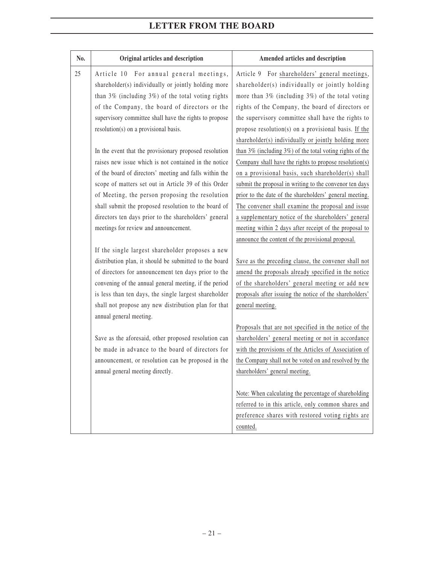| No. | Original articles and description                        | Amended articles and description                                |
|-----|----------------------------------------------------------|-----------------------------------------------------------------|
| 25  | Article 10 For annual general meetings,                  | Article 9 For shareholders' general meetings,                   |
|     | shareholder(s) individually or jointly holding more      | shareholder(s) individually or jointly holding                  |
|     | than $3\%$ (including $3\%$ ) of the total voting rights | more than 3% (including 3%) of the total voting                 |
|     | of the Company, the board of directors or the            | rights of the Company, the board of directors or                |
|     | supervisory committee shall have the rights to propose   | the supervisory committee shall have the rights to              |
|     | resolution(s) on a provisional basis.                    | propose resolution(s) on a provisional basis. If the            |
|     |                                                          | shareholder(s) individually or jointly holding more             |
|     | In the event that the provisionary proposed resolution   | than $3\%$ (including $3\%$ ) of the total voting rights of the |
|     | raises new issue which is not contained in the notice    | Company shall have the rights to propose resolution(s)          |
|     | of the board of directors' meeting and falls within the  | on a provisional basis, such shareholder(s) shall               |
|     | scope of matters set out in Article 39 of this Order     | submit the proposal in writing to the convenor ten days         |
|     | of Meeting, the person proposing the resolution          | prior to the date of the shareholders' general meeting.         |
|     | shall submit the proposed resolution to the board of     | The convener shall examine the proposal and issue               |
|     | directors ten days prior to the shareholders' general    | a supplementary notice of the shareholders' general             |
|     | meetings for review and announcement.                    | meeting within 2 days after receipt of the proposal to          |
|     |                                                          | announce the content of the provisional proposal.               |
|     | If the single largest shareholder proposes a new         |                                                                 |
|     | distribution plan, it should be submitted to the board   | Save as the preceding clause, the convener shall not            |
|     | of directors for announcement ten days prior to the      | amend the proposals already specified in the notice             |
|     | convening of the annual general meeting, if the period   | of the shareholders' general meeting or add new                 |
|     | is less than ten days, the single largest shareholder    | proposals after issuing the notice of the shareholders'         |
|     | shall not propose any new distribution plan for that     | general meeting.                                                |
|     | annual general meeting.                                  |                                                                 |
|     |                                                          | Proposals that are not specified in the notice of the           |
|     | Save as the aforesaid, other proposed resolution can     | shareholders' general meeting or not in accordance              |
|     | be made in advance to the board of directors for         | with the provisions of the Articles of Association of           |
|     | announcement, or resolution can be proposed in the       | the Company shall not be voted on and resolved by the           |
|     | annual general meeting directly.                         | shareholders' general meeting.                                  |
|     |                                                          |                                                                 |
|     |                                                          | Note: When calculating the percentage of shareholding           |
|     |                                                          | referred to in this article, only common shares and             |
|     |                                                          | preference shares with restored voting rights are               |
|     |                                                          | counted.                                                        |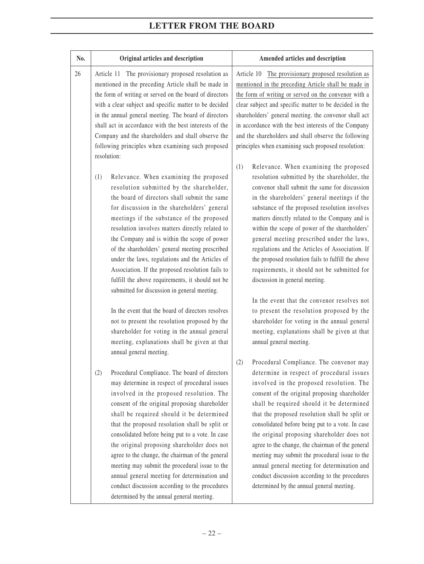| No. | Original articles and description                                                                                                                                                                                                                                                                                                                                                                                                                                                                                                                                                                                                                                                                                                                                                                            | Amended articles and description                                                                                                                                                                                                                                                                                                                                                                                                                                                                                                                                                                                                                                                                                                                                                                                    |
|-----|--------------------------------------------------------------------------------------------------------------------------------------------------------------------------------------------------------------------------------------------------------------------------------------------------------------------------------------------------------------------------------------------------------------------------------------------------------------------------------------------------------------------------------------------------------------------------------------------------------------------------------------------------------------------------------------------------------------------------------------------------------------------------------------------------------------|---------------------------------------------------------------------------------------------------------------------------------------------------------------------------------------------------------------------------------------------------------------------------------------------------------------------------------------------------------------------------------------------------------------------------------------------------------------------------------------------------------------------------------------------------------------------------------------------------------------------------------------------------------------------------------------------------------------------------------------------------------------------------------------------------------------------|
| 26  | Article 11 The provisionary proposed resolution as<br>mentioned in the preceding Article shall be made in<br>the form of writing or served on the board of directors<br>with a clear subject and specific matter to be decided<br>in the annual general meeting. The board of directors<br>shall act in accordance with the best interests of the<br>Company and the shareholders and shall observe the<br>following principles when examining such proposed<br>resolution:                                                                                                                                                                                                                                                                                                                                  | The provisionary proposed resolution as<br>Article 10<br>mentioned in the preceding Article shall be made in<br>the form of writing or served on the convenor with a<br>clear subject and specific matter to be decided in the<br>shareholders' general meeting. the convenor shall act<br>in accordance with the best interests of the Company<br>and the shareholders and shall observe the following<br>principles when examining such proposed resolution:                                                                                                                                                                                                                                                                                                                                                      |
|     | Relevance. When examining the proposed<br>(1)<br>resolution submitted by the shareholder,<br>the board of directors shall submit the same<br>for discussion in the shareholders' general<br>meetings if the substance of the proposed<br>resolution involves matters directly related to<br>the Company and is within the scope of power<br>of the shareholders' general meeting prescribed<br>under the laws, regulations and the Articles of<br>Association. If the proposed resolution fails to<br>fulfill the above requirements, it should not be<br>submitted for discussion in general meeting.<br>In the event that the board of directors resolves<br>not to present the resolution proposed by the<br>shareholder for voting in the annual general<br>meeting, explanations shall be given at that | (1)<br>Relevance. When examining the proposed<br>resolution submitted by the shareholder, the<br>convenor shall submit the same for discussion<br>in the shareholders' general meetings if the<br>substance of the proposed resolution involves<br>matters directly related to the Company and is<br>within the scope of power of the shareholders'<br>general meeting prescribed under the laws,<br>regulations and the Articles of Association. If<br>the proposed resolution fails to fulfill the above<br>requirements, it should not be submitted for<br>discussion in general meeting.<br>In the event that the convenor resolves not<br>to present the resolution proposed by the<br>shareholder for voting in the annual general<br>meeting, explanations shall be given at that<br>annual general meeting. |
|     | annual general meeting.<br>Procedural Compliance. The board of directors<br>(2)<br>may determine in respect of procedural issues<br>involved in the proposed resolution. The<br>consent of the original proposing shareholder<br>shall be required should it be determined<br>that the proposed resolution shall be split or<br>consolidated before being put to a vote. In case<br>the original proposing shareholder does not<br>agree to the change, the chairman of the general<br>meeting may submit the procedural issue to the<br>annual general meeting for determination and<br>conduct discussion according to the procedures<br>determined by the annual general meeting.                                                                                                                         | (2)<br>Procedural Compliance. The convenor may<br>determine in respect of procedural issues<br>involved in the proposed resolution. The<br>consent of the original proposing shareholder<br>shall be required should it be determined<br>that the proposed resolution shall be split or<br>consolidated before being put to a vote. In case<br>the original proposing shareholder does not<br>agree to the change, the chairman of the general<br>meeting may submit the procedural issue to the<br>annual general meeting for determination and<br>conduct discussion according to the procedures<br>determined by the annual general meeting.                                                                                                                                                                     |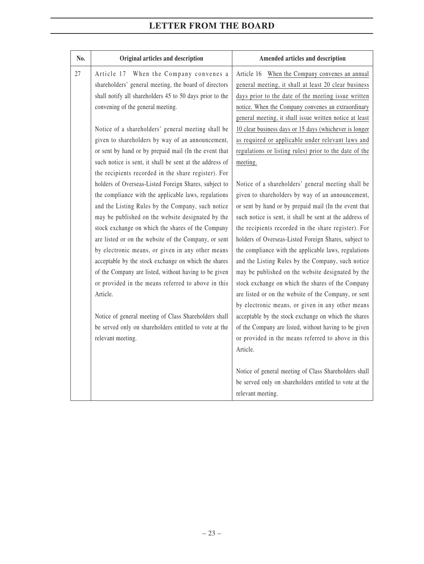| No. | Original articles and description                        | Amended articles and description                                                                                                     |
|-----|----------------------------------------------------------|--------------------------------------------------------------------------------------------------------------------------------------|
| 27  | Article 17 When the Company convenes a                   | Article 16 When the Company convenes an annual                                                                                       |
|     | shareholders' general meeting, the board of directors    | general meeting, it shall at least 20 clear business                                                                                 |
|     | shall notify all shareholders 45 to 50 days prior to the | days prior to the date of the meeting issue written                                                                                  |
|     | convening of the general meeting.                        | notice. When the Company convenes an extraordinary                                                                                   |
|     |                                                          | general meeting, it shall issue written notice at least                                                                              |
|     | Notice of a shareholders' general meeting shall be       | 10 clear business days or 15 days (whichever is longer                                                                               |
|     | given to shareholders by way of an announcement,         | as required or applicable under relevant laws and                                                                                    |
|     | or sent by hand or by prepaid mail (In the event that    | regulations or listing rules) prior to the date of the                                                                               |
|     | such notice is sent, it shall be sent at the address of  | meeting.                                                                                                                             |
|     | the recipients recorded in the share register). For      |                                                                                                                                      |
|     | holders of Overseas-Listed Foreign Shares, subject to    | Notice of a shareholders' general meeting shall be                                                                                   |
|     | the compliance with the applicable laws, regulations     | given to shareholders by way of an announcement,                                                                                     |
|     | and the Listing Rules by the Company, such notice        | or sent by hand or by prepaid mail (In the event that                                                                                |
|     | may be published on the website designated by the        | such notice is sent, it shall be sent at the address of                                                                              |
|     | stock exchange on which the shares of the Company        | the recipients recorded in the share register). For                                                                                  |
|     | are listed or on the website of the Company, or sent     | holders of Overseas-Listed Foreign Shares, subject to                                                                                |
|     | by electronic means, or given in any other means         | the compliance with the applicable laws, regulations                                                                                 |
|     | acceptable by the stock exchange on which the shares     | and the Listing Rules by the Company, such notice                                                                                    |
|     | of the Company are listed, without having to be given    | may be published on the website designated by the                                                                                    |
|     | or provided in the means referred to above in this       | stock exchange on which the shares of the Company                                                                                    |
|     | Article.                                                 | are listed or on the website of the Company, or sent                                                                                 |
|     |                                                          | by electronic means, or given in any other means                                                                                     |
|     | Notice of general meeting of Class Shareholders shall    | acceptable by the stock exchange on which the shares                                                                                 |
|     | be served only on shareholders entitled to vote at the   | of the Company are listed, without having to be given                                                                                |
|     | relevant meeting.                                        | or provided in the means referred to above in this                                                                                   |
|     |                                                          | Article.                                                                                                                             |
|     |                                                          |                                                                                                                                      |
|     |                                                          |                                                                                                                                      |
|     |                                                          |                                                                                                                                      |
|     |                                                          |                                                                                                                                      |
|     |                                                          | Notice of general meeting of Class Shareholders shall<br>be served only on shareholders entitled to vote at the<br>relevant meeting. |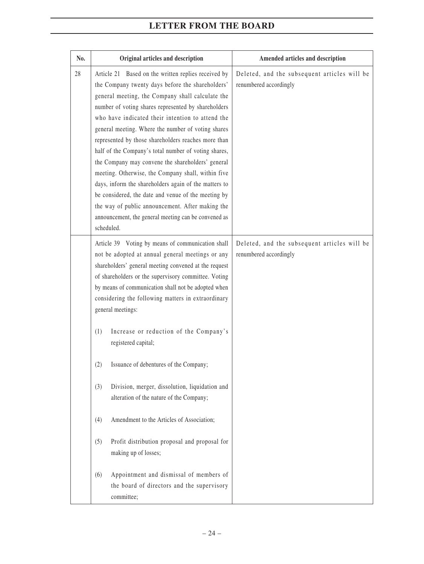| No. | Original articles and description                                                                                                                                                                                                                                                                                                                                                                                                                                                                                                                                                                                                                                                                                                                                                                | Amended articles and description                                       |
|-----|--------------------------------------------------------------------------------------------------------------------------------------------------------------------------------------------------------------------------------------------------------------------------------------------------------------------------------------------------------------------------------------------------------------------------------------------------------------------------------------------------------------------------------------------------------------------------------------------------------------------------------------------------------------------------------------------------------------------------------------------------------------------------------------------------|------------------------------------------------------------------------|
| 28  | Article 21 Based on the written replies received by<br>the Company twenty days before the shareholders'<br>general meeting, the Company shall calculate the<br>number of voting shares represented by shareholders<br>who have indicated their intention to attend the<br>general meeting. Where the number of voting shares<br>represented by those shareholders reaches more than<br>half of the Company's total number of voting shares,<br>the Company may convene the shareholders' general<br>meeting. Otherwise, the Company shall, within five<br>days, inform the shareholders again of the matters to<br>be considered, the date and venue of the meeting by<br>the way of public announcement. After making the<br>announcement, the general meeting can be convened as<br>scheduled. | Deleted, and the subsequent articles will be<br>renumbered accordingly |
|     | Article 39 Voting by means of communication shall<br>not be adopted at annual general meetings or any<br>shareholders' general meeting convened at the request<br>of shareholders or the supervisory committee. Voting<br>by means of communication shall not be adopted when<br>considering the following matters in extraordinary<br>general meetings:                                                                                                                                                                                                                                                                                                                                                                                                                                         | Deleted, and the subsequent articles will be<br>renumbered accordingly |
|     | Increase or reduction of the Company's<br>(1)<br>registered capital;<br>Issuance of debentures of the Company;<br>(2)                                                                                                                                                                                                                                                                                                                                                                                                                                                                                                                                                                                                                                                                            |                                                                        |
|     | Division, merger, dissolution, liquidation and<br>(3)<br>alteration of the nature of the Company;                                                                                                                                                                                                                                                                                                                                                                                                                                                                                                                                                                                                                                                                                                |                                                                        |
|     | Amendment to the Articles of Association;<br>(4)                                                                                                                                                                                                                                                                                                                                                                                                                                                                                                                                                                                                                                                                                                                                                 |                                                                        |
|     | Profit distribution proposal and proposal for<br>(5)<br>making up of losses;                                                                                                                                                                                                                                                                                                                                                                                                                                                                                                                                                                                                                                                                                                                     |                                                                        |
|     | Appointment and dismissal of members of<br>(6)<br>the board of directors and the supervisory<br>committee;                                                                                                                                                                                                                                                                                                                                                                                                                                                                                                                                                                                                                                                                                       |                                                                        |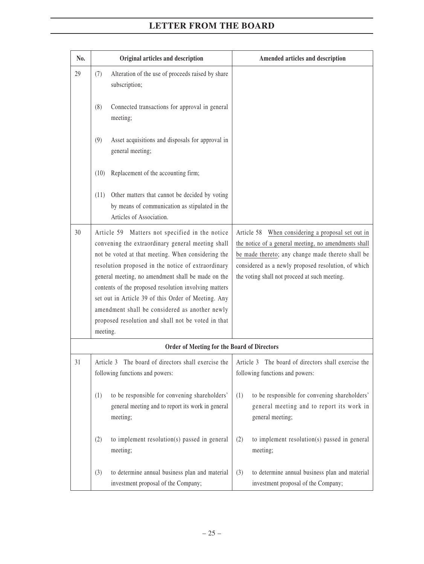| No. | Original articles and description                                                                                                                                                                                                                                                                                                                                                                                                                                                                         | Amended articles and description                                                                                                                                                                                                                                       |  |
|-----|-----------------------------------------------------------------------------------------------------------------------------------------------------------------------------------------------------------------------------------------------------------------------------------------------------------------------------------------------------------------------------------------------------------------------------------------------------------------------------------------------------------|------------------------------------------------------------------------------------------------------------------------------------------------------------------------------------------------------------------------------------------------------------------------|--|
| 29  | Alteration of the use of proceeds raised by share<br>(7)<br>subscription;                                                                                                                                                                                                                                                                                                                                                                                                                                 |                                                                                                                                                                                                                                                                        |  |
|     | Connected transactions for approval in general<br>(8)<br>meeting;                                                                                                                                                                                                                                                                                                                                                                                                                                         |                                                                                                                                                                                                                                                                        |  |
|     | Asset acquisitions and disposals for approval in<br>(9)<br>general meeting;                                                                                                                                                                                                                                                                                                                                                                                                                               |                                                                                                                                                                                                                                                                        |  |
|     | Replacement of the accounting firm;<br>(10)                                                                                                                                                                                                                                                                                                                                                                                                                                                               |                                                                                                                                                                                                                                                                        |  |
|     | Other matters that cannot be decided by voting<br>(11)<br>by means of communication as stipulated in the<br>Articles of Association.                                                                                                                                                                                                                                                                                                                                                                      |                                                                                                                                                                                                                                                                        |  |
| 30  | Article 59 Matters not specified in the notice<br>convening the extraordinary general meeting shall<br>not be voted at that meeting. When considering the<br>resolution proposed in the notice of extraordinary<br>general meeting, no amendment shall be made on the<br>contents of the proposed resolution involving matters<br>set out in Article 39 of this Order of Meeting. Any<br>amendment shall be considered as another newly<br>proposed resolution and shall not be voted in that<br>meeting. | Article 58 When considering a proposal set out in<br>the notice of a general meeting, no amendments shall<br>be made thereto; any change made thereto shall be<br>considered as a newly proposed resolution, of which<br>the voting shall not proceed at such meeting. |  |
|     | Order of Meeting for the Board of Directors                                                                                                                                                                                                                                                                                                                                                                                                                                                               |                                                                                                                                                                                                                                                                        |  |
| 31  | The board of directors shall exercise the<br>Article 3<br>following functions and powers:                                                                                                                                                                                                                                                                                                                                                                                                                 | Article 3 The board of directors shall exercise the<br>following functions and powers:                                                                                                                                                                                 |  |
|     | to be responsible for convening shareholders'<br>(1)<br>general meeting and to report its work in general<br>meeting;                                                                                                                                                                                                                                                                                                                                                                                     | to be responsible for convening shareholders'<br>(1)<br>general meeting and to report its work in<br>general meeting;                                                                                                                                                  |  |
|     | to implement resolution(s) passed in general<br>(2)<br>meeting;                                                                                                                                                                                                                                                                                                                                                                                                                                           | (2)<br>to implement resolution(s) passed in general<br>meeting;                                                                                                                                                                                                        |  |
|     | to determine annual business plan and material<br>(3)<br>investment proposal of the Company;                                                                                                                                                                                                                                                                                                                                                                                                              | (3)<br>to determine annual business plan and material<br>investment proposal of the Company;                                                                                                                                                                           |  |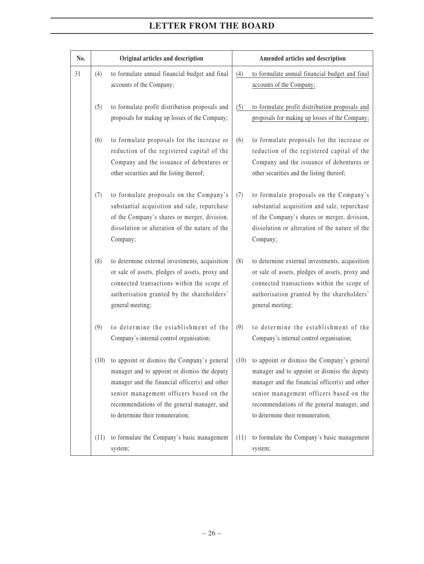| No. |      | Original articles and description                                                                                                                                                                                                                                           |      | Amended articles and description                                                                                                                                                                                                                                            |
|-----|------|-----------------------------------------------------------------------------------------------------------------------------------------------------------------------------------------------------------------------------------------------------------------------------|------|-----------------------------------------------------------------------------------------------------------------------------------------------------------------------------------------------------------------------------------------------------------------------------|
| 31  | (4)  | to formulate annual financial budget and final<br>accounts of the Company;                                                                                                                                                                                                  | (4)  | to formulate annual financial budget and final<br>accounts of the Company;                                                                                                                                                                                                  |
|     | (5)  | to formulate profit distribution proposals and<br>proposals for making up losses of the Company;                                                                                                                                                                            | (5)  | to formulate profit distribution proposals and<br>proposals for making up losses of the Company;                                                                                                                                                                            |
|     | (6)  | to formulate proposals for the increase or<br>reduction of the registered capital of the<br>Company and the issuance of debentures or<br>other securities and the listing thereof;                                                                                          | (6)  | to formulate proposals for the increase or<br>reduction of the registered capital of the<br>Company and the issuance of debentures or<br>other securities and the listing thereof;                                                                                          |
|     | (7)  | to formulate proposals on the Company's<br>substantial acquisition and sale, repurchase<br>of the Company's shares or merger, division,<br>dissolution or alteration of the nature of the<br>Company;                                                                       | (7)  | to formulate proposals on the Company's<br>substantial acquisition and sale, repurchase<br>of the Company's shares or merger, division,<br>dissolution or alteration of the nature of the<br>Company;                                                                       |
|     | (8)  | to determine external investments, acquisition<br>or sale of assets, pledges of assets, proxy and<br>connected transactions within the scope of<br>authorisation granted by the shareholders'<br>general meeting;                                                           | (8)  | to determine external investments, acquisition<br>or sale of assets, pledges of assets, proxy and<br>connected transactions within the scope of<br>authorisation granted by the shareholders'<br>general meeting;                                                           |
|     | (9)  | to determine the establishment of the<br>Company's internal control organisation;                                                                                                                                                                                           | (9)  | to determine the establishment of the<br>Company's internal control organisation;                                                                                                                                                                                           |
|     | (10) | to appoint or dismiss the Company's general<br>manager and to appoint or dismiss the deputy<br>manager and the financial officer(s) and other<br>senior management officers based on the<br>recommendations of the general manager, and<br>to determine their remuneration; | (10) | to appoint or dismiss the Company's general<br>manager and to appoint or dismiss the deputy<br>manager and the financial officer(s) and other<br>senior management officers based on the<br>recommendations of the general manager, and<br>to determine their remuneration; |
|     | (11) | to formulate the Company's basic management<br>system;                                                                                                                                                                                                                      | (11) | to formulate the Company's basic management<br>system;                                                                                                                                                                                                                      |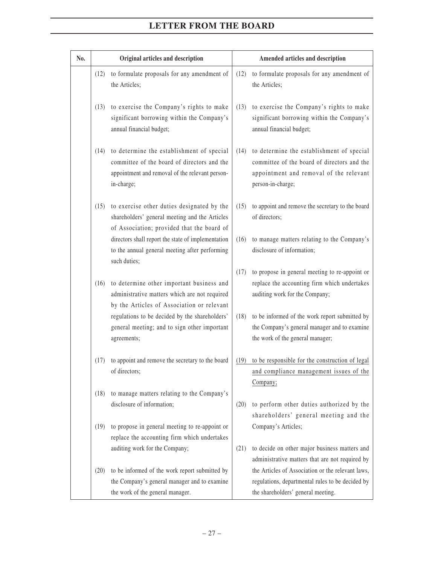| No. |      | Original articles and description                                                                                                                         |      | Amended articles and description                                                                                                                         |
|-----|------|-----------------------------------------------------------------------------------------------------------------------------------------------------------|------|----------------------------------------------------------------------------------------------------------------------------------------------------------|
|     | (12) | to formulate proposals for any amendment of<br>the Articles;                                                                                              | (12) | to formulate proposals for any amendment of<br>the Articles;                                                                                             |
|     | (13) | to exercise the Company's rights to make<br>significant borrowing within the Company's<br>annual financial budget;                                        | (13) | to exercise the Company's rights to make<br>significant borrowing within the Company's<br>annual financial budget;                                       |
|     | (14) | to determine the establishment of special<br>committee of the board of directors and the<br>appointment and removal of the relevant person-<br>in-charge; | (14) | to determine the establishment of special<br>committee of the board of directors and the<br>appointment and removal of the relevant<br>person-in-charge; |
|     | (15) | to exercise other duties designated by the<br>shareholders' general meeting and the Articles<br>of Association; provided that the board of                | (15) | to appoint and remove the secretary to the board<br>of directors;                                                                                        |
|     |      | directors shall report the state of implementation<br>to the annual general meeting after performing<br>such duties;                                      | (16) | to manage matters relating to the Company's<br>disclosure of information;                                                                                |
|     | (16) | to determine other important business and<br>administrative matters which are not required<br>by the Articles of Association or relevant                  | (17) | to propose in general meeting to re-appoint or<br>replace the accounting firm which undertakes<br>auditing work for the Company;                         |
|     |      | regulations to be decided by the shareholders'<br>general meeting; and to sign other important<br>agreements;                                             | (18) | to be informed of the work report submitted by<br>the Company's general manager and to examine<br>the work of the general manager;                       |
|     | (17) | to appoint and remove the secretary to the board<br>of directors;                                                                                         | (19) | to be responsible for the construction of legal<br>and compliance management issues of the<br>Company;                                                   |
|     | (18) | to manage matters relating to the Company's<br>disclosure of information;                                                                                 | (20) | to perform other duties authorized by the<br>shareholders' general meeting and the                                                                       |
|     | (19) | to propose in general meeting to re-appoint or<br>replace the accounting firm which undertakes                                                            |      | Company's Articles;                                                                                                                                      |
|     |      | auditing work for the Company;                                                                                                                            | (21) | to decide on other major business matters and<br>administrative matters that are not required by                                                         |
|     | (20) | to be informed of the work report submitted by                                                                                                            |      | the Articles of Association or the relevant laws,                                                                                                        |
|     |      | the Company's general manager and to examine<br>the work of the general manager.                                                                          |      | regulations, departmental rules to be decided by<br>the shareholders' general meeting.                                                                   |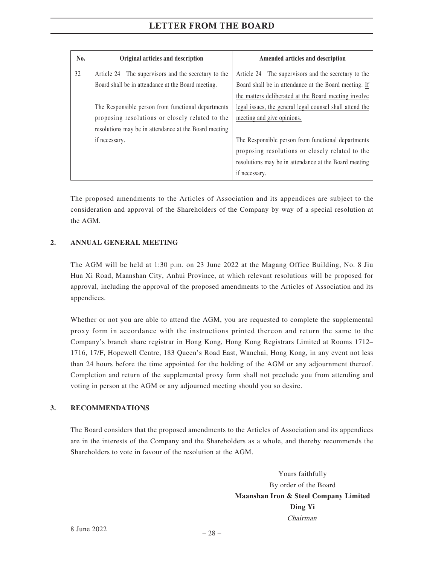| No. | Original articles and description                     | Amended articles and description                         |
|-----|-------------------------------------------------------|----------------------------------------------------------|
| 32  | Article 24 The supervisors and the secretary to the   | Article 24 The supervisors and the secretary to the      |
|     | Board shall be in attendance at the Board meeting.    | Board shall be in attendance at the Board meeting. If    |
|     |                                                       | the matters deliberated at the Board meeting involve     |
|     | The Responsible person from functional departments    | legal issues, the general legal counsel shall attend the |
|     | proposing resolutions or closely related to the       | meeting and give opinions.                               |
|     | resolutions may be in attendance at the Board meeting |                                                          |
|     | if necessary.                                         | The Responsible person from functional departments       |
|     |                                                       | proposing resolutions or closely related to the          |
|     |                                                       | resolutions may be in attendance at the Board meeting    |
|     |                                                       | if necessary.                                            |

The proposed amendments to the Articles of Association and its appendices are subject to the consideration and approval of the Shareholders of the Company by way of a special resolution at the AGM.

#### **2. ANNUAL GENERAL MEETING**

The AGM will be held at 1:30 p.m. on 23 June 2022 at the Magang Office Building, No. 8 Jiu Hua Xi Road, Maanshan City, Anhui Province, at which relevant resolutions will be proposed for approval, including the approval of the proposed amendments to the Articles of Association and its appendices.

Whether or not you are able to attend the AGM, you are requested to complete the supplemental proxy form in accordance with the instructions printed thereon and return the same to the Company's branch share registrar in Hong Kong, Hong Kong Registrars Limited at Rooms 1712– 1716, 17/F, Hopewell Centre, 183 Queen's Road East, Wanchai, Hong Kong, in any event not less than 24 hours before the time appointed for the holding of the AGM or any adjournment thereof. Completion and return of the supplemental proxy form shall not preclude you from attending and voting in person at the AGM or any adjourned meeting should you so desire.

#### **3. RECOMMENDATIONS**

The Board considers that the proposed amendments to the Articles of Association and its appendices are in the interests of the Company and the Shareholders as a whole, and thereby recommends the Shareholders to vote in favour of the resolution at the AGM.

> Yours faithfully By order of the Board **Maanshan Iron & Steel Company Limited Ding Yi** Chairman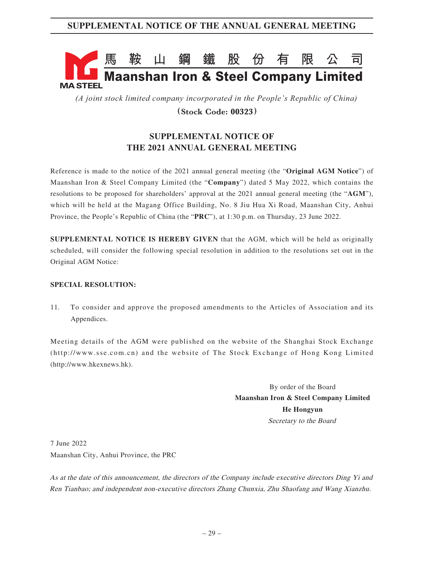# **馬鞍山鋼鐵股份有限公司 Maanshan Iron & Steel Company Limited MA STEEL**

*(A joint stock limited company incorporated in the People's Republic of China)*

**(Stock Code: 00323)**

# **SUPPLEMENTAL NOTICE OF THE 2021 ANNUAL GENERAL MEETING**

Reference is made to the notice of the 2021 annual general meeting (the "**Original AGM Notice**") of Maanshan Iron & Steel Company Limited (the "**Company**") dated 5 May 2022, which contains the resolutions to be proposed for shareholders' approval at the 2021 annual general meeting (the "**AGM**"), which will be held at the Magang Office Building, No. 8 Jiu Hua Xi Road, Maanshan City, Anhui Province, the People's Republic of China (the "**PRC**"), at 1:30 p.m. on Thursday, 23 June 2022.

**SUPPLEMENTAL NOTICE IS HEREBY GIVEN** that the AGM, which will be held as originally scheduled, will consider the following special resolution in addition to the resolutions set out in the Original AGM Notice:

#### **SPECIAL RESOLUTION:**

11. To consider and approve the proposed amendments to the Articles of Association and its Appendices.

Meeting details of the AGM were published on the website of the Shanghai Stock Exchange (http://www.sse.com.cn) and the website of The Stock Exchange of Hong Kong Limited (http://www.hkexnews.hk).

> By order of the Board **Maanshan Iron & Steel Company Limited He Hongyun** Secretary to the Board

7 June 2022 Maanshan City, Anhui Province, the PRC

As at the date of this announcement, the directors of the Company include executive directors Ding Yi and Ren Tianbao; and independent non-executive directors Zhang Chunxia, Zhu Shaofang and Wang Xianzhu.